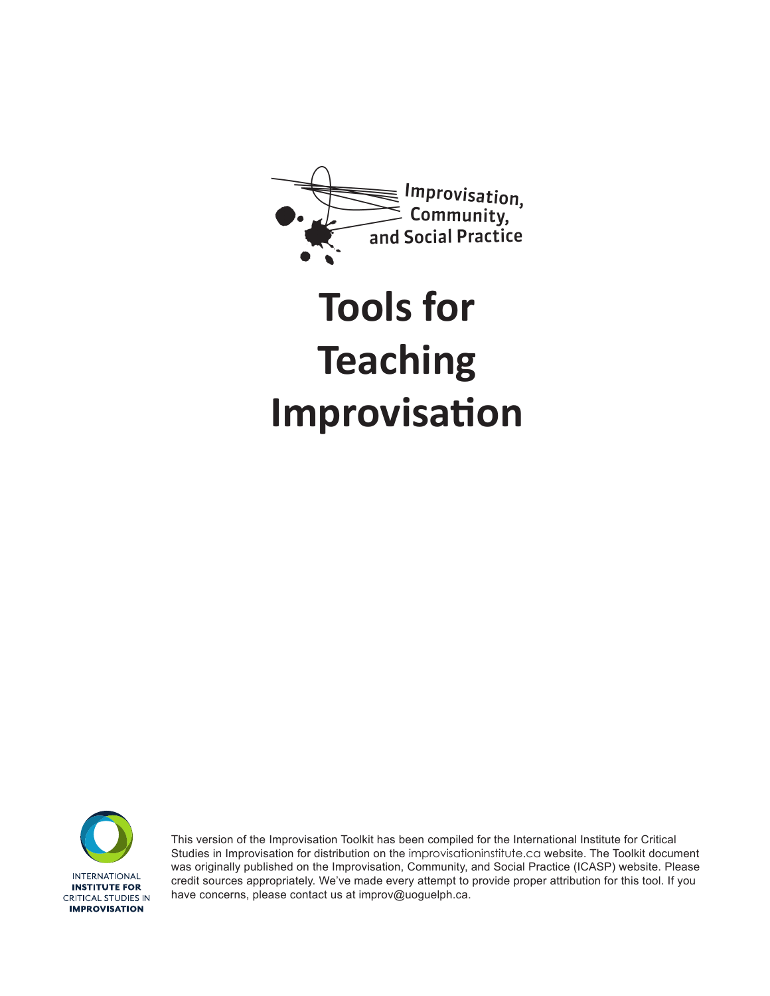

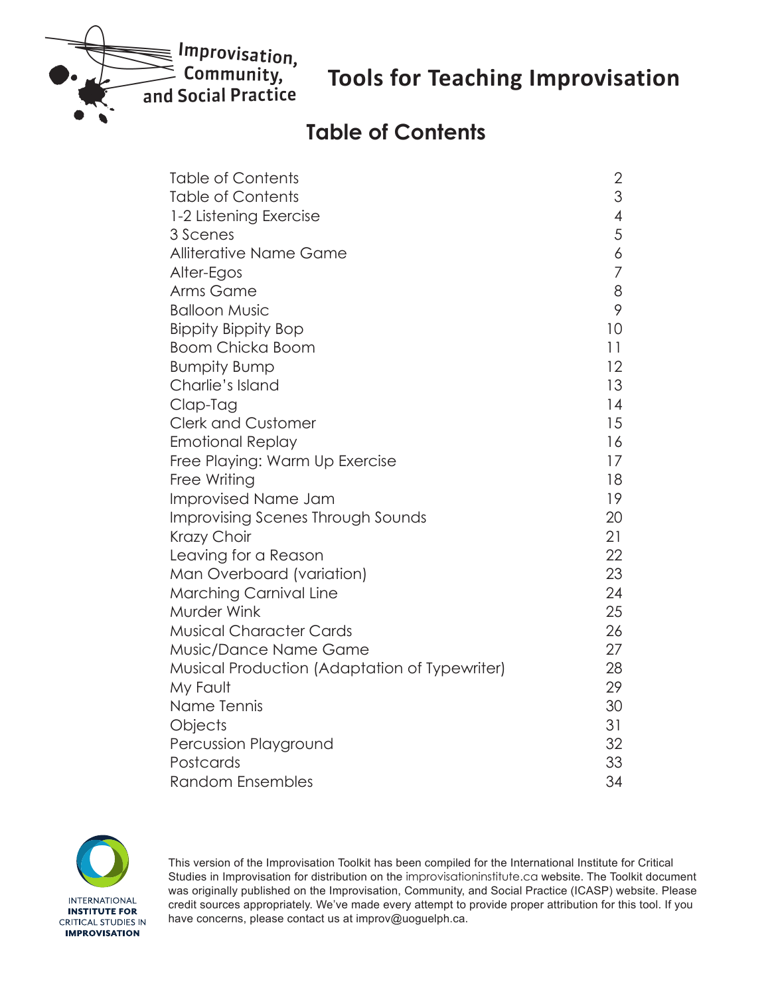

### **Table of Contents**

| <b>Table of Contents</b>                             | 2              |
|------------------------------------------------------|----------------|
| <b>Table of Contents</b>                             | 3              |
| 1-2 Listening Exercise                               | $\overline{4}$ |
| 3 Scenes                                             | 5              |
| <b>Alliterative Name Game</b>                        | 6              |
| Alter-Egos                                           | $\overline{7}$ |
| Arms Game                                            | 8              |
| <b>Balloon Music</b>                                 | 9              |
| <b>Bippity Bippity Bop</b>                           | 10             |
| <b>Boom Chicka Boom</b>                              | 11             |
| <b>Bumpity Bump</b>                                  | 12             |
| Charlie's Island                                     | 13             |
| Clap-Tag                                             | 14             |
| <b>Clerk and Customer</b>                            | 15             |
| <b>Emotional Replay</b>                              | 16             |
| Free Playing: Warm Up Exercise                       | 17             |
| Free Writing                                         | 18             |
| <b>Improvised Name Jam</b>                           | 19             |
| Improvising Scenes Through Sounds                    | 20             |
| Krazy Choir                                          | 21             |
| Leaving for a Reason                                 | 22             |
| Man Overboard (variation)                            | 23             |
| <b>Marching Carnival Line</b>                        | 24             |
| <b>Murder Wink</b>                                   | 25             |
| <b>Musical Character Cards</b>                       | 26             |
| Music/Dance Name Game                                | 27             |
| <b>Musical Production (Adaptation of Typewriter)</b> | 28             |
| My Fault                                             | 29             |
| Name Tennis                                          | 30             |
| Objects                                              | 31             |
| Percussion Playground                                | 32             |
| Postcards                                            | 33             |
| <b>Random Ensembles</b>                              | 34             |

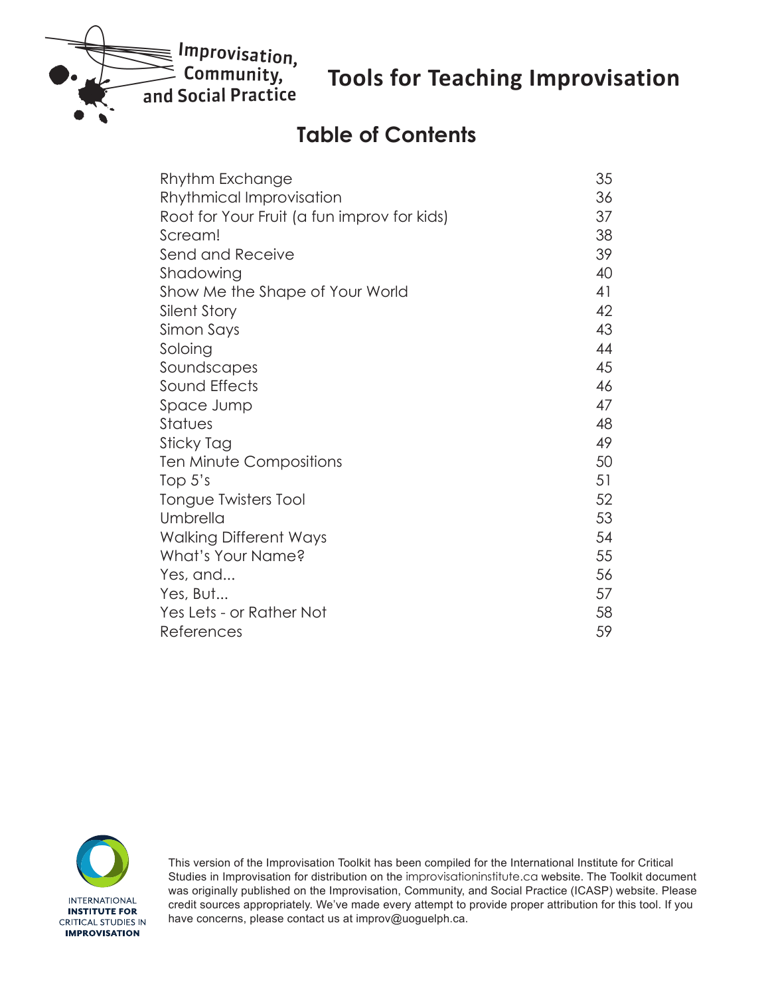<span id="page-2-0"></span>

# **Table of Contents**

| Rhythm Exchange                             | 35 |
|---------------------------------------------|----|
| Rhythmical Improvisation                    | 36 |
| Root for Your Fruit (a fun improv for kids) | 37 |
| Scream!                                     | 38 |
| Send and Receive                            | 39 |
| Shadowing                                   | 40 |
| Show Me the Shape of Your World             | 41 |
| Silent Story                                | 42 |
| Simon Says                                  | 43 |
| Soloing                                     | 44 |
| Soundscapes                                 | 45 |
| Sound Effects                               | 46 |
| Space Jump                                  | 47 |
| Statues                                     | 48 |
| Sticky Tag                                  | 49 |
| Ten Minute Compositions                     | 50 |
| Top $5's$                                   | 51 |
| Tongue Twisters Tool                        | 52 |
| Umbrella                                    | 53 |
| <b>Walking Different Ways</b>               | 54 |
| What's Your Name?                           | 55 |
| Yes, and                                    | 56 |
| Yes, But                                    | 57 |
| Yes Lets - or Rather Not                    | 58 |
| References                                  | 59 |

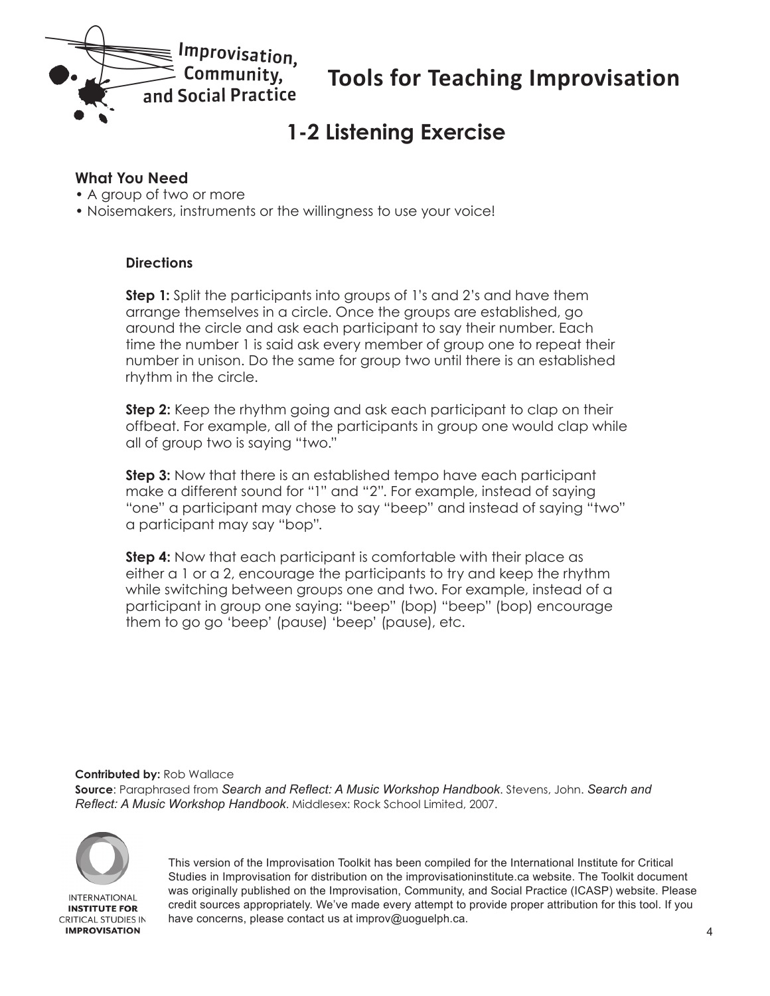<span id="page-3-0"></span>

# **1-2 Listening Exercise**

#### **What You Need**

- A group of two or more
- Noisemakers, instruments or the willingness to use your voice!

#### **Directions**

**Step 1:** Split the participants into groups of 1's and 2's and have them arrange themselves in a circle. Once the groups are established, go around the circle and ask each participant to say their number. Each time the number 1 is said ask every member of group one to repeat their number in unison. Do the same for group two until there is an established rhythm in the circle.

**Step 2:** Keep the rhythm going and ask each participant to clap on their offbeat. For example, all of the participants in group one would clap while all of group two is saying "two."

**Step 3:** Now that there is an established tempo have each participant make a different sound for "1" and "2". For example, instead of saying "one" a participant may chose to say "beep" and instead of saying "two" a participant may say "bop".

**Step 4:** Now that each participant is comfortable with their place as either a 1 or a 2, encourage the participants to try and keep the rhythm while switching between groups one and two. For example, instead of a participant in group one saying: "beep" (bop) "beep" (bop) encourage them to go go 'beep' (pause) 'beep' (pause), etc.

**Contributed by:** Rob Wallace

**Source**: Paraphrased from *Search and Reflect: A Music Workshop Handbook*. Stevens, John. *Search and Reflect: A Music Workshop Handbook*. Middlesex: Rock School Limited, 2007.



**INTERNATIONAL INSTITUTE FOR CRITICAL STUDIES IN IMPROVISATION**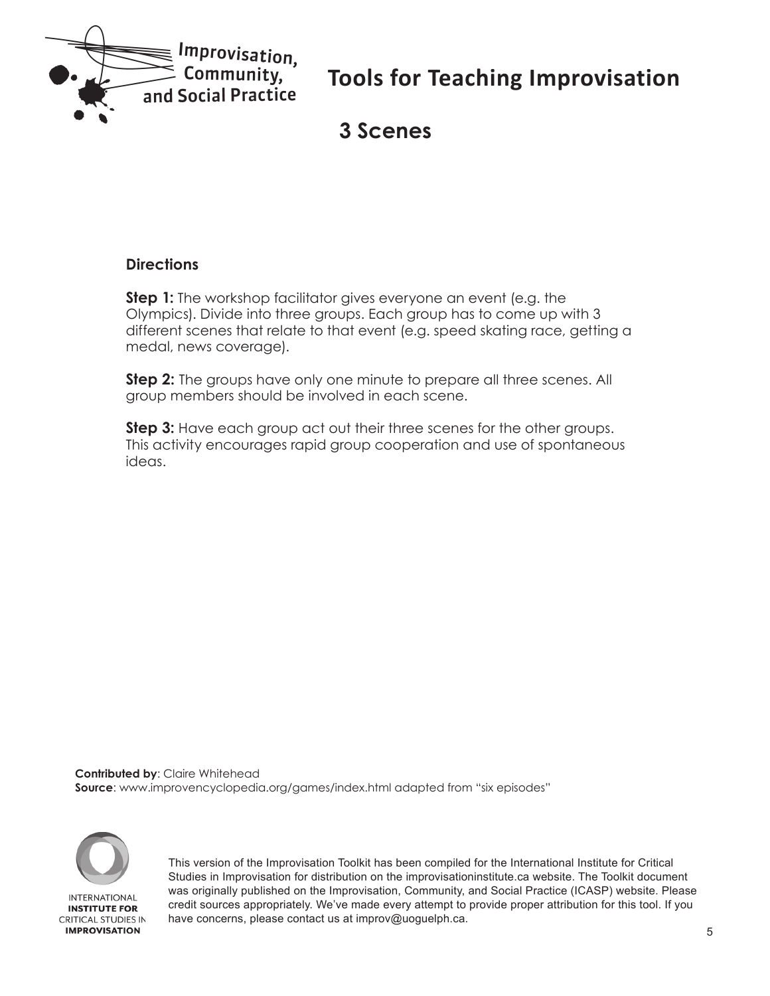<span id="page-4-0"></span>

### **3 Scenes**

#### **Directions**

**Step 1:** The workshop facilitator gives everyone an event (e.g. the Olympics). Divide into three groups. Each group has to come up with 3 different scenes that relate to that event (e.g. speed skating race, getting a medal, news coverage).

**Step 2:** The groups have only one minute to prepare all three scenes. All group members should be involved in each scene.

**Step 3:** Have each group act out their three scenes for the other groups. This activity encourages rapid group cooperation and use of spontaneous ideas.

**Contributed by**: Claire Whitehead **Source**: www.improvencyclopedia.org/games/index.html adapted from "six episodes"

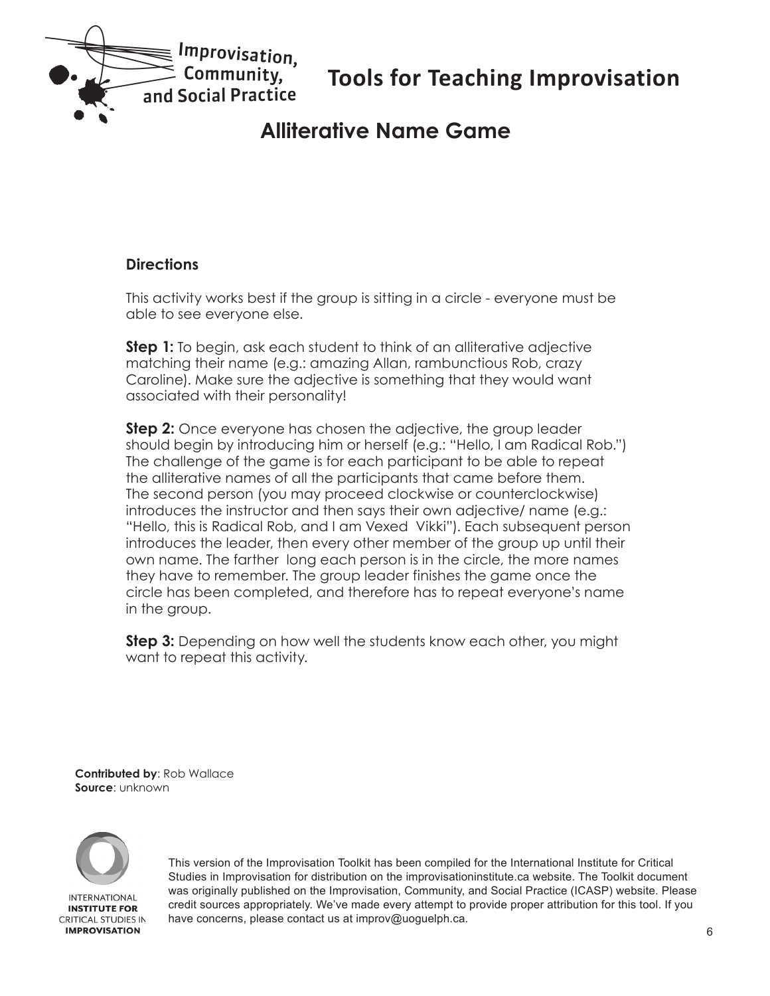<span id="page-5-0"></span>

### **Alliterative Name Game**

#### **Directions**

This activity works best if the group is sitting in a circle - everyone must be able to see everyone else.

**Step 1:** To begin, ask each student to think of an alliterative adjective matching their name (e.g.: amazing Allan, rambunctious Rob, crazy Caroline). Make sure the adjective is something that they would want associated with their personality!

**Step 2:** Once everyone has chosen the adjective, the group leader should begin by introducing him or herself (e.g.: "Hello, I am Radical Rob.") The challenge of the game is for each participant to be able to repeat the alliterative names of all the participants that came before them. The second person (you may proceed clockwise or counterclockwise) introduces the instructor and then says their own adjective/ name (e.g.: "Hello, this is Radical Rob, and I am Vexed Vikki"). Each subsequent person introduces the leader, then every other member of the group up until their own name. The farther long each person is in the circle, the more names they have to remember. The group leader finishes the game once the circle has been completed, and therefore has to repeat everyone's name in the group.

**Step 3:** Depending on how well the students know each other, you might want to repeat this activity.

**Contributed by**: Rob Wallace **Source**: unknown

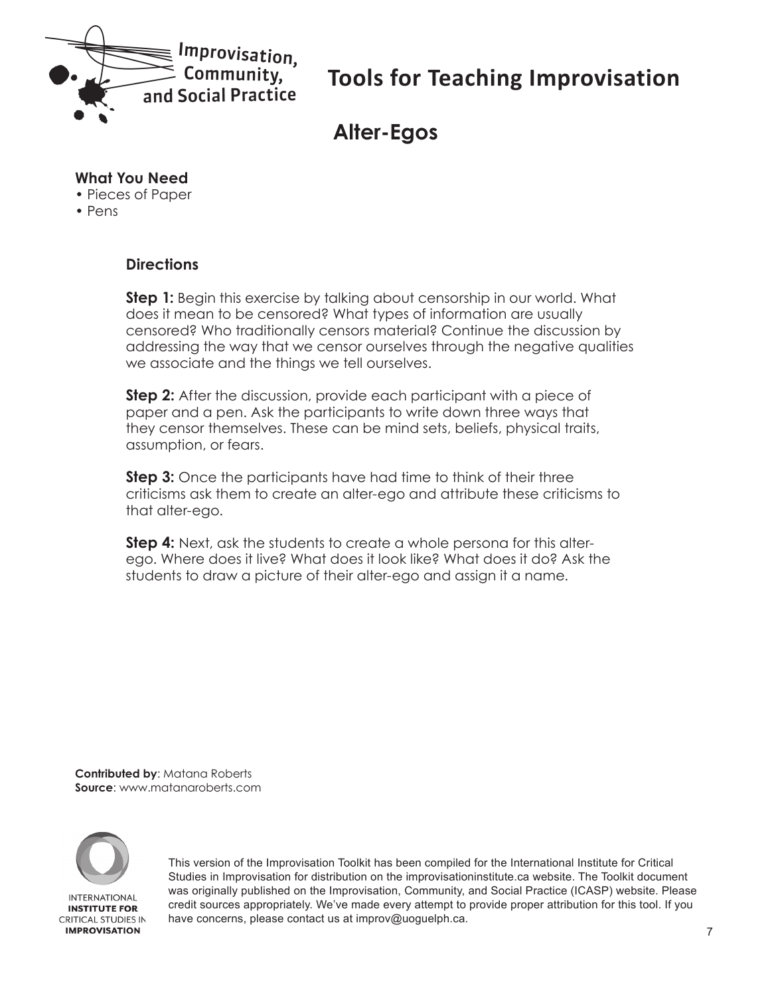<span id="page-6-0"></span>

# **Alter-Egos**

#### **What You Need**

- Pieces of Paper
- Pens

#### **Directions**

**Step 1:** Begin this exercise by talking about censorship in our world. What does it mean to be censored? What types of information are usually censored? Who traditionally censors material? Continue the discussion by addressing the way that we censor ourselves through the negative qualities we associate and the things we tell ourselves.

**Step 2:** After the discussion, provide each participant with a piece of paper and a pen. Ask the participants to write down three ways that they censor themselves. These can be mind sets, beliefs, physical traits, assumption, or fears.

**Step 3:** Once the participants have had time to think of their three criticisms ask them to create an alter-ego and attribute these criticisms to that alter-ego.

**Step 4:** Next, ask the students to create a whole persona for this alterego. Where does it live? What does it look like? What does it do? Ask the students to draw a picture of their alter-ego and assign it a name.

**Contributed by**: Matana Roberts **Source**: www.matanaroberts.com

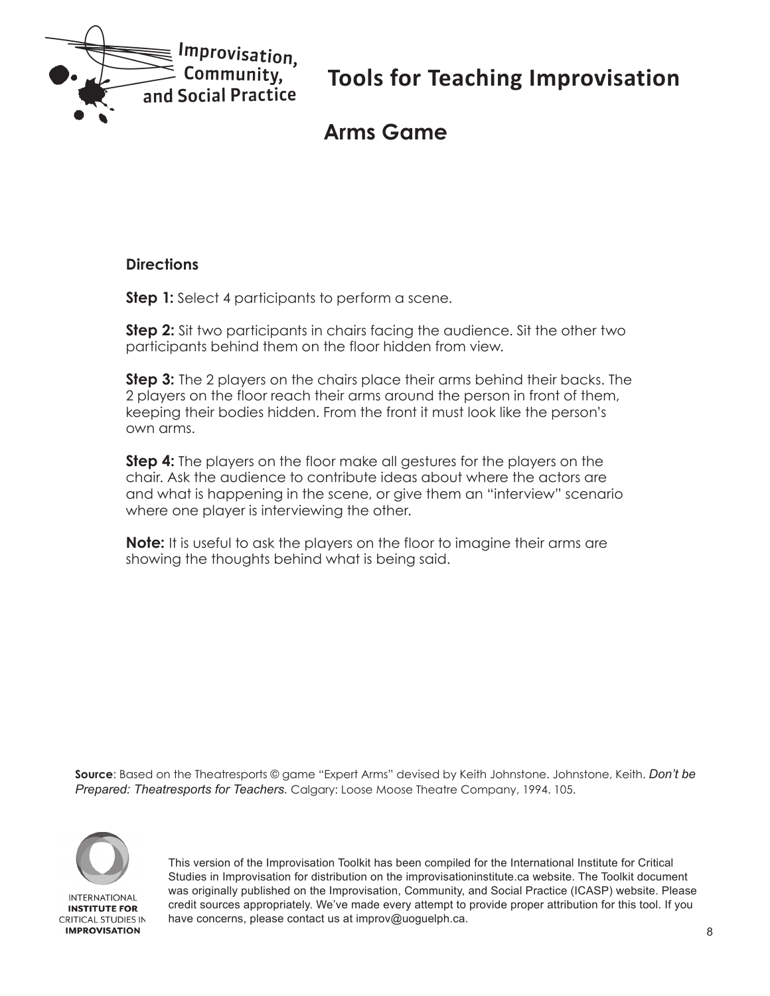<span id="page-7-0"></span>

# **Arms Game**

#### **Directions**

**Step 1:** Select 4 participants to perform a scene.

**Step 2:** Sit two participants in chairs facing the audience. Sit the other two participants behind them on the floor hidden from view.

**Step 3:** The 2 players on the chairs place their arms behind their backs. The 2 players on the floor reach their arms around the person in front of them, keeping their bodies hidden. From the front it must look like the person's own arms.

**Step 4:** The players on the floor make all gestures for the players on the chair. Ask the audience to contribute ideas about where the actors are and what is happening in the scene, or give them an "interview" scenario where one player is interviewing the other.

**Note:** It is useful to ask the players on the floor to imagine their arms are showing the thoughts behind what is being said.

**Source**: Based on the Theatresports © game "Expert Arms" devised by Keith Johnstone. Johnstone, Keith. *Don't be Prepared: Theatresports for Teachers.* Calgary: Loose Moose Theatre Company, 1994. 105.

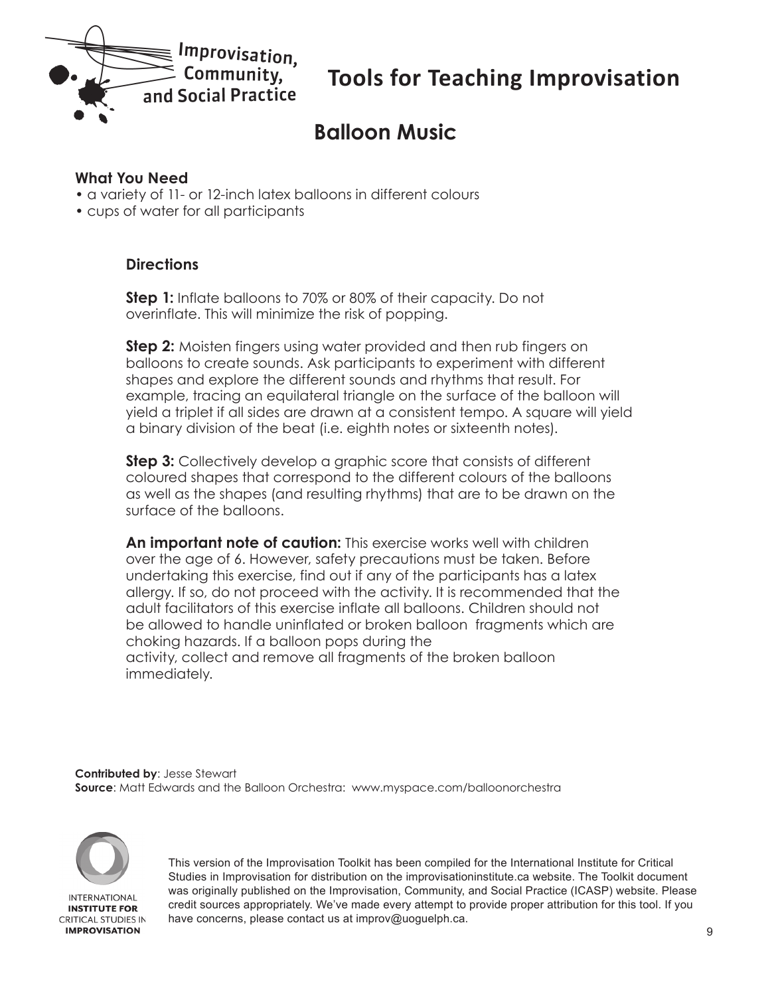<span id="page-8-0"></span>

# **Balloon Music**

#### **What You Need**

- a variety of 11- or 12-inch latex balloons in different colours
- cups of water for all participants

#### **Directions**

**Step 1:** Inflate balloons to 70% or 80% of their capacity. Do not overinflate. This will minimize the risk of popping.

**Step 2:** Moisten fingers using water provided and then rub fingers on balloons to create sounds. Ask participants to experiment with different shapes and explore the different sounds and rhythms that result. For example, tracing an equilateral triangle on the surface of the balloon will yield a triplet if all sides are drawn at a consistent tempo. A square will yield a binary division of the beat (i.e. eighth notes or sixteenth notes).

**Step 3:** Collectively develop a graphic score that consists of different coloured shapes that correspond to the different colours of the balloons as well as the shapes (and resulting rhythms) that are to be drawn on the surface of the balloons.

**An important note of caution:** This exercise works well with children over the age of 6. However, safety precautions must be taken. Before undertaking this exercise, find out if any of the participants has a latex allergy. If so, do not proceed with the activity. It is recommended that the adult facilitators of this exercise inflate all balloons. Children should not be allowed to handle uninflated or broken balloon fragments which are choking hazards. If a balloon pops during the activity, collect and remove all fragments of the broken balloon immediately.

**Contributed by**: Jesse Stewart **Source**: Matt Edwards and the Balloon Orchestra: www.myspace.com/balloonorchestra

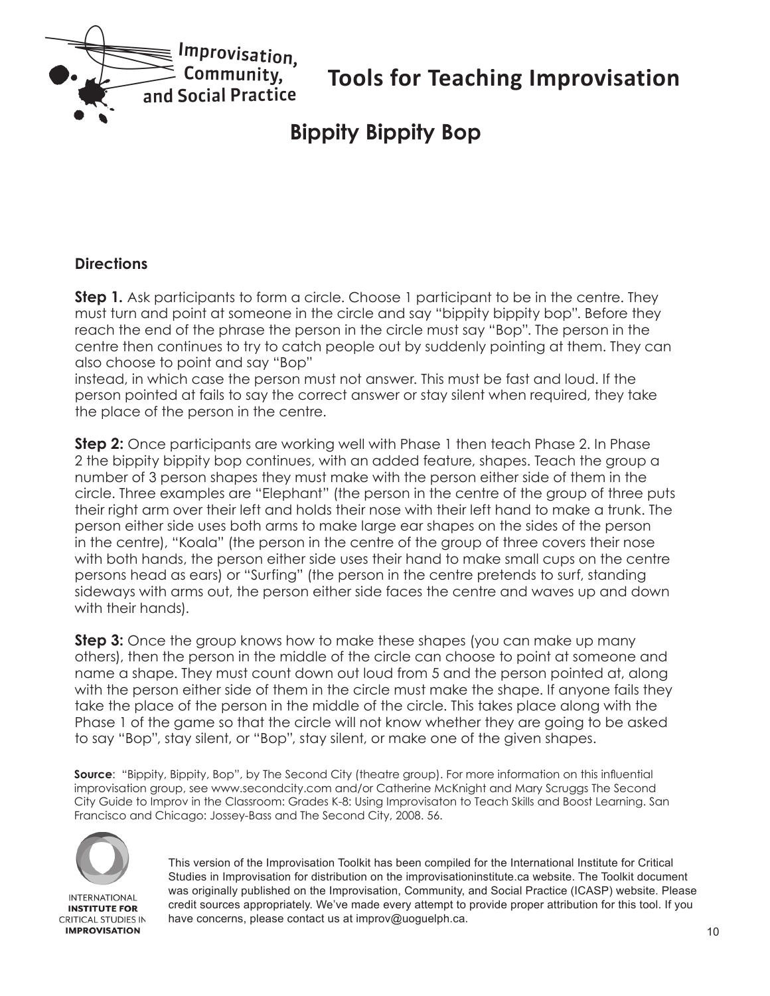<span id="page-9-0"></span>

# **Bippity Bippity Bop**

#### **Directions**

**Step 1.** Ask participants to form a circle. Choose 1 participant to be in the centre. They must turn and point at someone in the circle and say "bippity bippity bop". Before they reach the end of the phrase the person in the circle must say "Bop". The person in the centre then continues to try to catch people out by suddenly pointing at them. They can also choose to point and say "Bop"

instead, in which case the person must not answer. This must be fast and loud. If the person pointed at fails to say the correct answer or stay silent when required, they take the place of the person in the centre.

**Step 2:** Once participants are working well with Phase 1 then teach Phase 2. In Phase 2 the bippity bippity bop continues, with an added feature, shapes. Teach the group a number of 3 person shapes they must make with the person either side of them in the circle. Three examples are "Elephant" (the person in the centre of the group of three puts their right arm over their left and holds their nose with their left hand to make a trunk. The person either side uses both arms to make large ear shapes on the sides of the person in the centre), "Koala" (the person in the centre of the group of three covers their nose with both hands, the person either side uses their hand to make small cups on the centre persons head as ears) or "Surfing" (the person in the centre pretends to surf, standing sideways with arms out, the person either side faces the centre and waves up and down with their hands).

**Step 3:** Once the group knows how to make these shapes (you can make up many others), then the person in the middle of the circle can choose to point at someone and name a shape. They must count down out loud from 5 and the person pointed at, along with the person either side of them in the circle must make the shape. If anyone fails they take the place of the person in the middle of the circle. This takes place along with the Phase 1 of the game so that the circle will not know whether they are going to be asked to say "Bop", stay silent, or "Bop", stay silent, or make one of the given shapes.

**Source**: "Bippity, Bippity, Bop", by The Second City (theatre group). For more information on this influential improvisation group, see www.secondcity.com and/or Catherine McKnight and Mary Scruggs The Second City Guide to Improv in the Classroom: Grades K-8: Using Improvisaton to Teach Skills and Boost Learning. San Francisco and Chicago: Jossey-Bass and The Second City, 2008. 56.



**INTERNATIONAL INSTITUTE FOR CRITICAL STUDIES IN IMPROVISATION**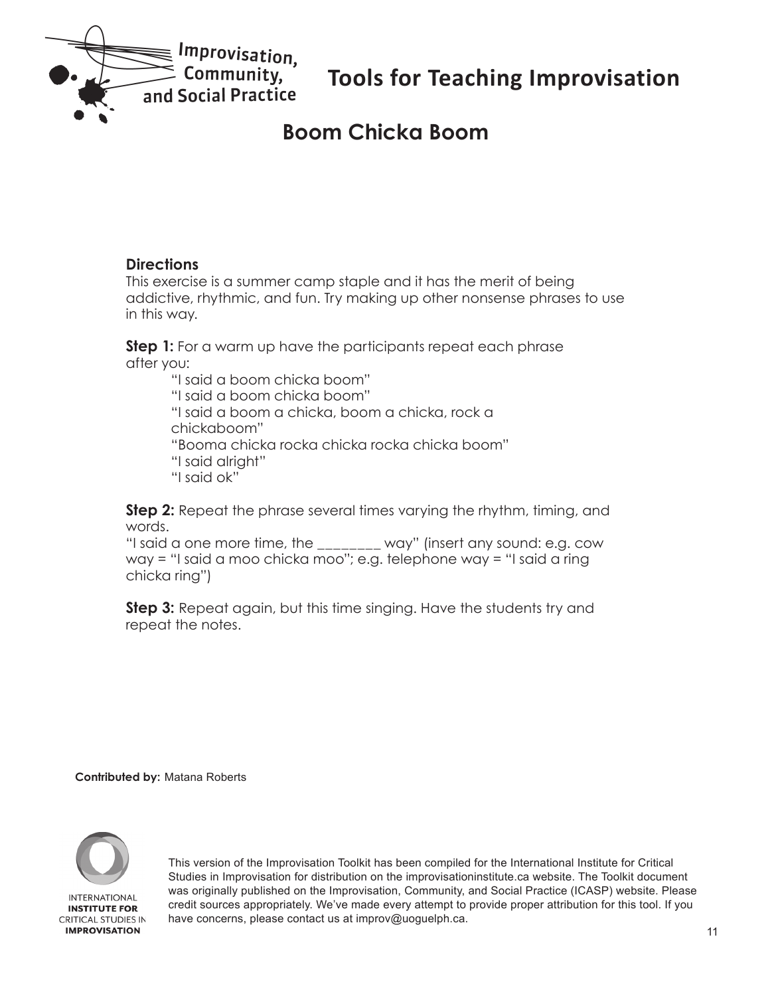<span id="page-10-0"></span>

### **Boom Chicka Boom**

#### **Directions**

This exercise is a summer camp staple and it has the merit of being addictive, rhythmic, and fun. Try making up other nonsense phrases to use in this way.

**Step 1:** For a warm up have the participants repeat each phrase after you:

> "I said a boom chicka boom" "I said a boom chicka boom" "I said a boom a chicka, boom a chicka, rock a chickaboom" "Booma chicka rocka chicka rocka chicka boom" "I said alright" "I said ok"

**Step 2:** Repeat the phrase several times varying the rhythm, timing, and words.

"I said a one more time, the \_\_\_\_\_\_\_\_ way" (insert any sound: e.g. cow way = "I said a moo chicka moo"; e.g. telephone way = "I said a ring chicka ring")

**Step 3:** Repeat again, but this time singing. Have the students try and repeat the notes.

**Contributed by:** Matana Roberts



**IMPROVISATION**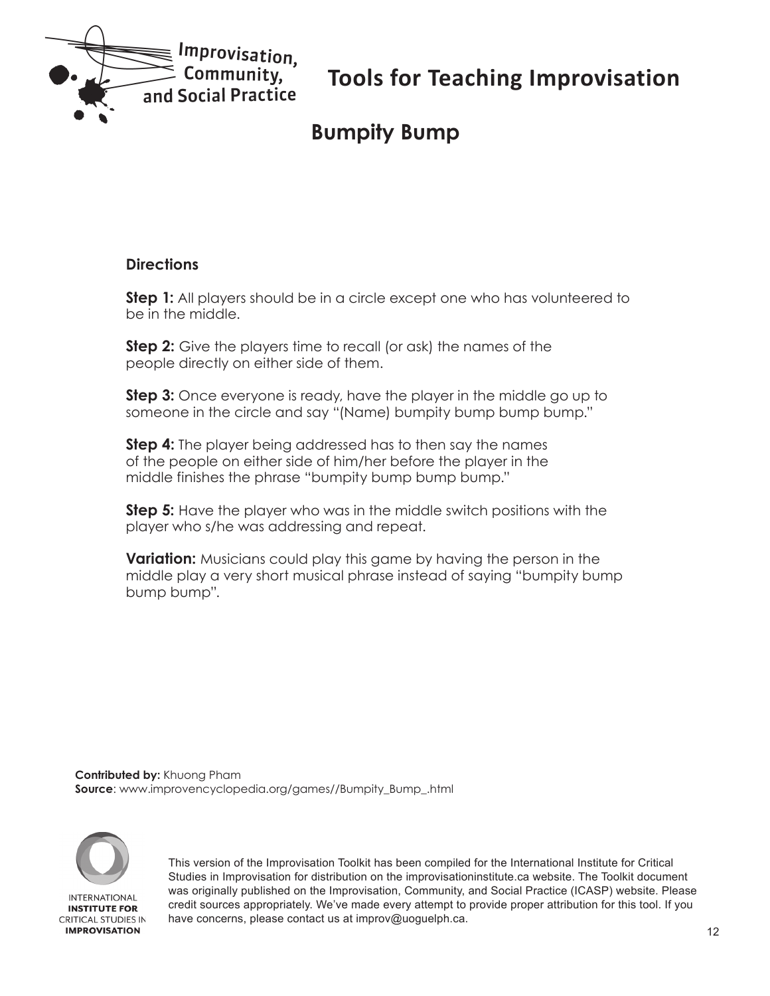<span id="page-11-0"></span>

# **Bumpity Bump**

#### **Directions**

**Step 1:** All players should be in a circle except one who has volunteered to be in the middle.

**Step 2:** Give the players time to recall (or ask) the names of the people directly on either side of them.

**Step 3:** Once everyone is ready, have the player in the middle go up to someone in the circle and say "(Name) bumpity bump bump bump."

**Step 4:** The player being addressed has to then say the names of the people on either side of him/her before the player in the middle finishes the phrase "bumpity bump bump bump."

**Step 5:** Have the player who was in the middle switch positions with the player who s/he was addressing and repeat.

**Variation:** Musicians could play this game by having the person in the middle play a very short musical phrase instead of saying "bumpity bump bump bump".

**Contributed by:** Khuong Pham **Source**: www.improvencyclopedia.org/games//Bumpity\_Bump\_.html

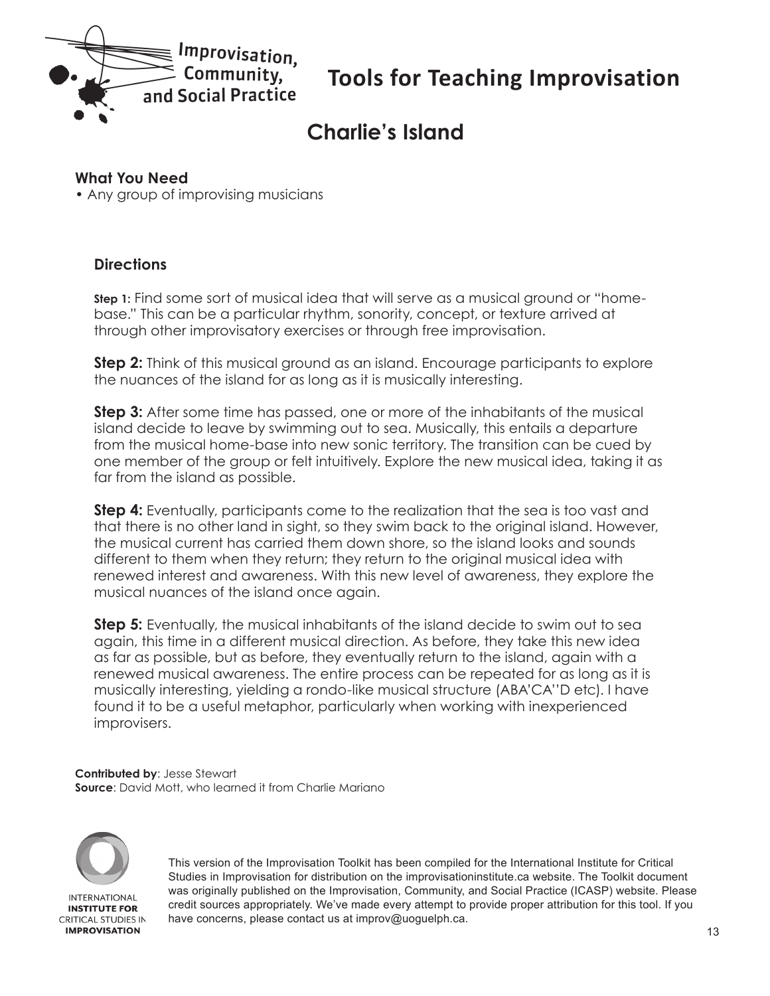<span id="page-12-0"></span>

# **Charlie's Island**

#### **What You Need**

• Any group of improvising musicians

#### **Directions**

**Step 1:** Find some sort of musical idea that will serve as a musical ground or "homebase." This can be a particular rhythm, sonority, concept, or texture arrived at through other improvisatory exercises or through free improvisation.

**Step 2:** Think of this musical ground as an island. Encourage participants to explore the nuances of the island for as long as it is musically interesting.

**Step 3:** After some time has passed, one or more of the inhabitants of the musical island decide to leave by swimming out to sea. Musically, this entails a departure from the musical home-base into new sonic territory. The transition can be cued by one member of the group or felt intuitively. Explore the new musical idea, taking it as far from the island as possible.

**Step 4:** Eventually, participants come to the realization that the sea is too vast and that there is no other land in sight, so they swim back to the original island. However, the musical current has carried them down shore, so the island looks and sounds different to them when they return; they return to the original musical idea with renewed interest and awareness. With this new level of awareness, they explore the musical nuances of the island once again.

**Step 5:** Eventually, the musical inhabitants of the island decide to swim out to sea again, this time in a different musical direction. As before, they take this new idea as far as possible, but as before, they eventually return to the island, again with a renewed musical awareness. The entire process can be repeated for as long as it is musically interesting, yielding a rondo-like musical structure (ABA'CA''D etc). I have found it to be a useful metaphor, particularly when working with inexperienced improvisers.

**Contributed by**: Jesse Stewart **Source**: David Mott, who learned it from Charlie Mariano



**IMPROVISATION**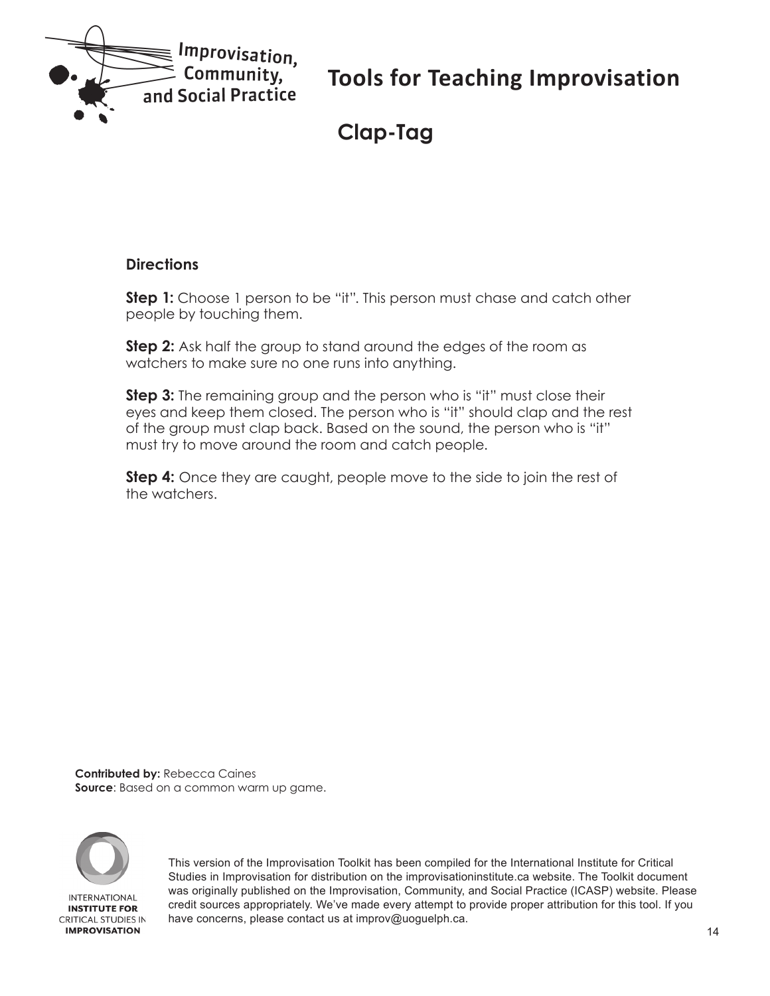<span id="page-13-0"></span>

**Clap-Tag**

#### **Directions**

**Step 1:** Choose 1 person to be "it". This person must chase and catch other people by touching them.

**Step 2:** Ask half the group to stand around the edges of the room as watchers to make sure no one runs into anything.

**Step 3:** The remaining group and the person who is "it" must close their eyes and keep them closed. The person who is "it" should clap and the rest of the group must clap back. Based on the sound, the person who is "it" must try to move around the room and catch people.

**Step 4:** Once they are caught, people move to the side to join the rest of the watchers.

**Contributed by:** Rebecca Caines **Source**: Based on a common warm up game.

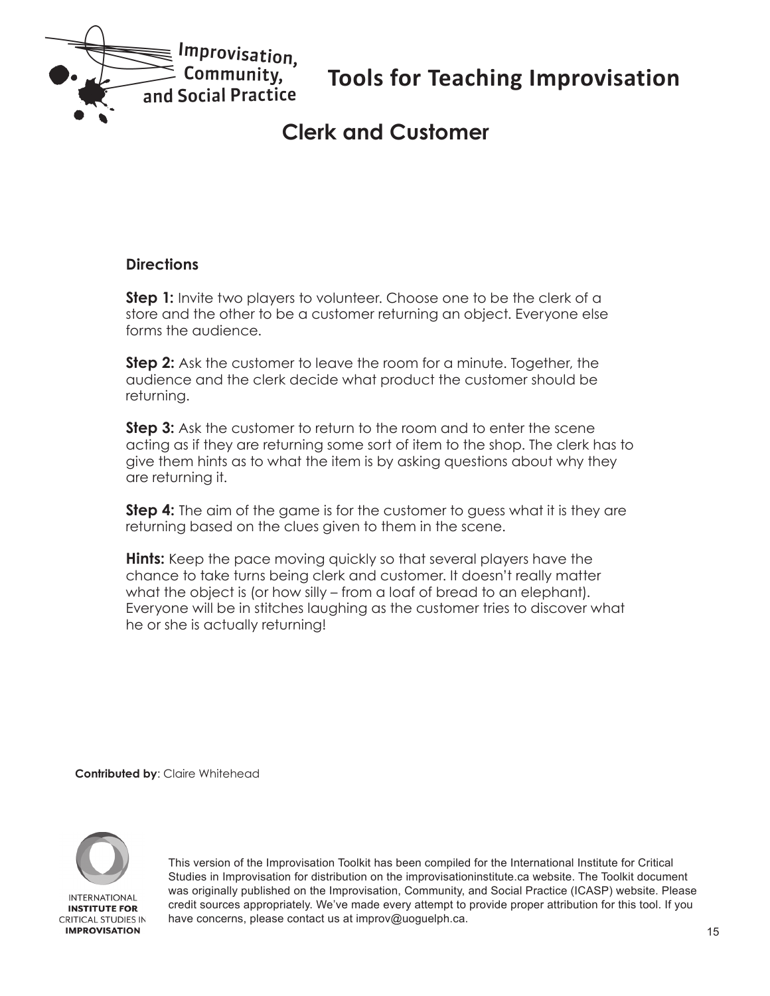<span id="page-14-0"></span>

# **Clerk and Customer**

#### **Directions**

**Step 1:** Invite two players to volunteer. Choose one to be the clerk of a store and the other to be a customer returning an object. Everyone else forms the audience.

**Step 2:** Ask the customer to leave the room for a minute. Together, the audience and the clerk decide what product the customer should be returning.

**Step 3:** Ask the customer to return to the room and to enter the scene acting as if they are returning some sort of item to the shop. The clerk has to give them hints as to what the item is by asking questions about why they are returning it.

**Step 4:** The aim of the game is for the customer to guess what it is they are returning based on the clues given to them in the scene.

**Hints:** Keep the pace moving quickly so that several players have the chance to take turns being clerk and customer. It doesn't really matter what the object is (or how silly – from a loaf of bread to an elephant). Everyone will be in stitches laughing as the customer tries to discover what he or she is actually returning!

**Contributed by**: Claire Whitehead

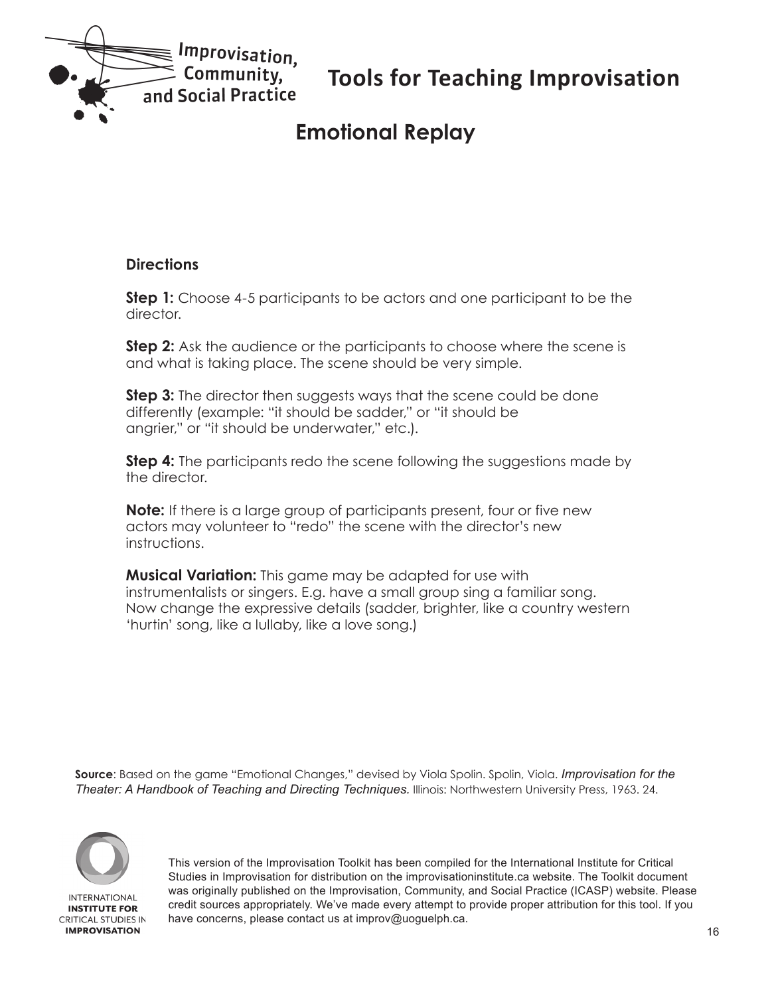<span id="page-15-0"></span>

# **Emotional Replay**

#### **Directions**

**Step 1:** Choose 4-5 participants to be actors and one participant to be the director.

**Step 2:** Ask the audience or the participants to choose where the scene is and what is taking place. The scene should be very simple.

**Step 3:** The director then suggests ways that the scene could be done differently (example: "it should be sadder," or "it should be angrier," or "it should be underwater," etc.).

**Step 4:** The participants redo the scene following the suggestions made by the director.

**Note:** If there is a large group of participants present, four or five new actors may volunteer to "redo" the scene with the director's new instructions.

**Musical Variation:** This game may be adapted for use with instrumentalists or singers. E.g. have a small group sing a familiar song. Now change the expressive details (sadder, brighter, like a country western 'hurtin' song, like a lullaby, like a love song.)

**Source**: Based on the game "Emotional Changes," devised by Viola Spolin. Spolin, Viola. *Improvisation for the Theater: A Handbook of Teaching and Directing Techniques.* Illinois: Northwestern University Press, 1963. 24.

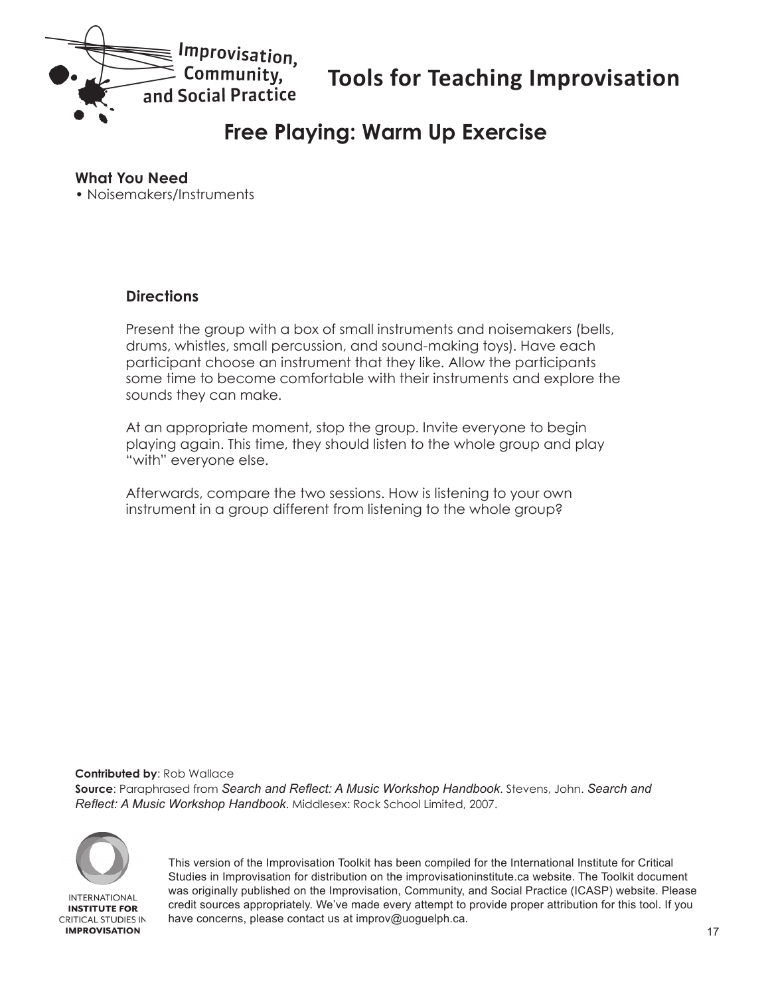<span id="page-16-0"></span>

# **Free Playing: Warm Up Exercise**

#### **What You Need**

• Noisemakers/Instruments

#### **Directions**

Present the group with a box of small instruments and noisemakers (bells, drums, whistles, small percussion, and sound-making toys). Have each participant choose an instrument that they like. Allow the participants some time to become comfortable with their instruments and explore the sounds they can make.

At an appropriate moment, stop the group. Invite everyone to begin playing again. This time, they should listen to the whole group and play "with" everyone else.

Afterwards, compare the two sessions. How is listening to your own instrument in a group different from listening to the whole group?

**Contributed by**: Rob Wallace

**Source**: Paraphrased from *Search and Reflect: A Music Workshop Handbook*. Stevens, John. *Search and Reflect: A Music Workshop Handbook*. Middlesex: Rock School Limited, 2007.



**IMPROVISATION**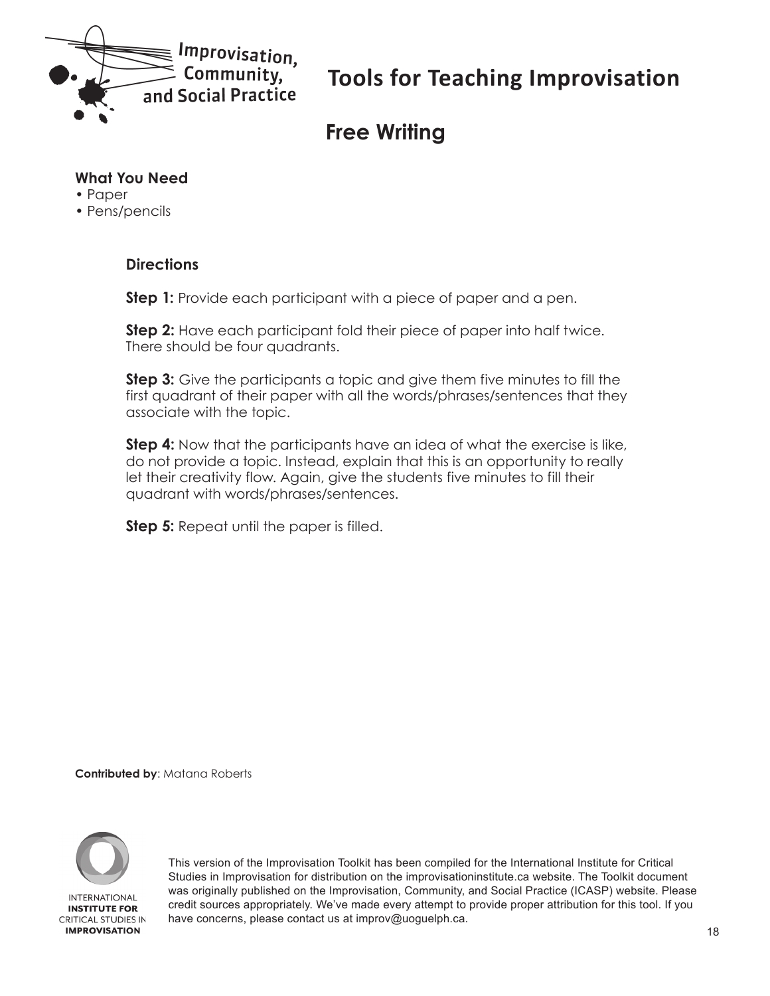<span id="page-17-0"></span>

# **Free Writing**

#### **What You Need**

- Paper
- Pens/pencils

#### **Directions**

**Step 1:** Provide each participant with a piece of paper and a pen.

**Step 2:** Have each participant fold their piece of paper into half twice. There should be four quadrants.

**Step 3:** Give the participants a topic and give them five minutes to fill the first quadrant of their paper with all the words/phrases/sentences that they associate with the topic.

**Step 4:** Now that the participants have an idea of what the exercise is like, do not provide a topic. Instead, explain that this is an opportunity to really let their creativity flow. Again, give the students five minutes to fill their quadrant with words/phrases/sentences.

**Step 5:** Repeat until the paper is filled.

**Contributed by**: Matana Roberts

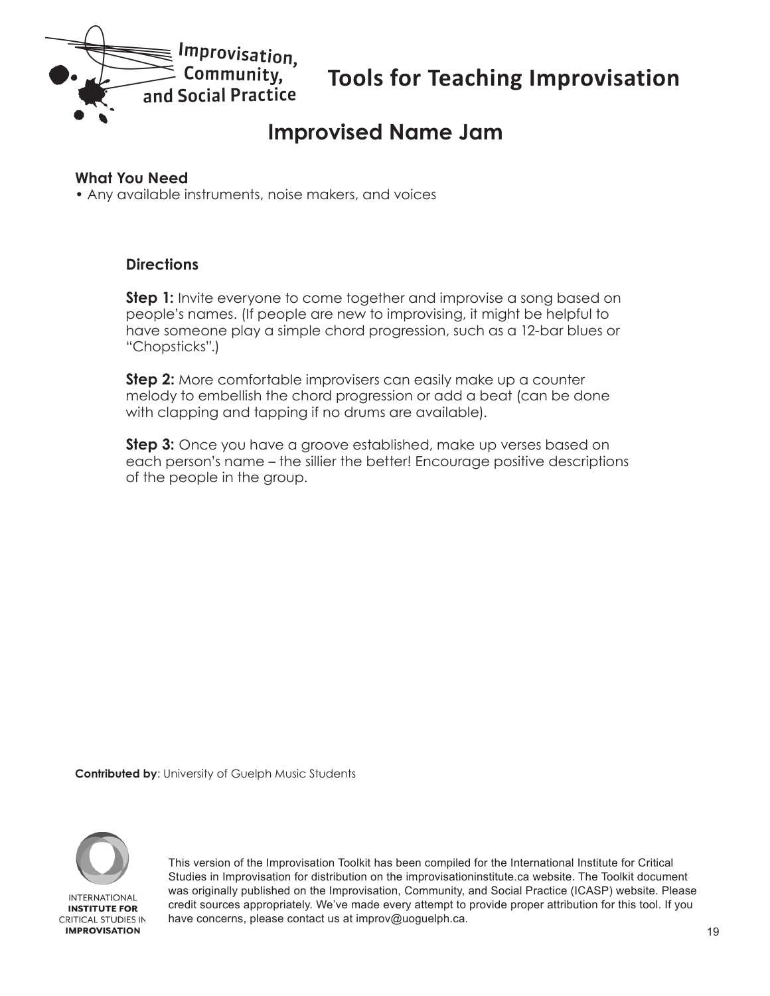<span id="page-18-0"></span>

### **Improvised Name Jam**

#### **What You Need**

• Any available instruments, noise makers, and voices

#### **Directions**

**Step 1:** Invite everyone to come together and improvise a song based on people's names. (If people are new to improvising, it might be helpful to have someone play a simple chord progression, such as a 12-bar blues or "Chopsticks".)

**Step 2:** More comfortable improvisers can easily make up a counter melody to embellish the chord progression or add a beat (can be done with clapping and tapping if no drums are available).

**Step 3:** Once you have a groove established, make up verses based on each person's name – the sillier the better! Encourage positive descriptions of the people in the group.

**Contributed by**: University of Guelph Music Students

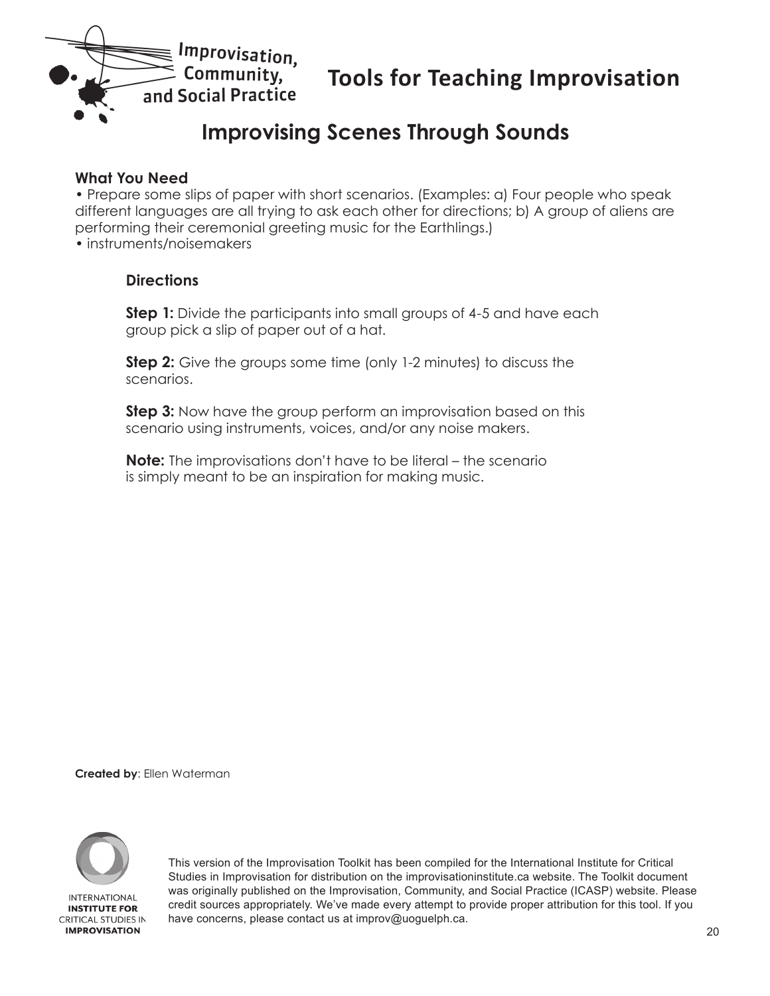<span id="page-19-0"></span>

# **Improvising Scenes Through Sounds**

#### **What You Need**

• Prepare some slips of paper with short scenarios. (Examples: a) Four people who speak different languages are all trying to ask each other for directions; b) A group of aliens are performing their ceremonial greeting music for the Earthlings.) • instruments/noisemakers

#### **Directions**

**Step 1:** Divide the participants into small groups of 4-5 and have each group pick a slip of paper out of a hat.

**Step 2:** Give the groups some time (only 1-2 minutes) to discuss the scenarios.

**Step 3:** Now have the group perform an improvisation based on this scenario using instruments, voices, and/or any noise makers.

**Note:** The improvisations don't have to be literal – the scenario is simply meant to be an inspiration for making music.

**Created by**: Ellen Waterman

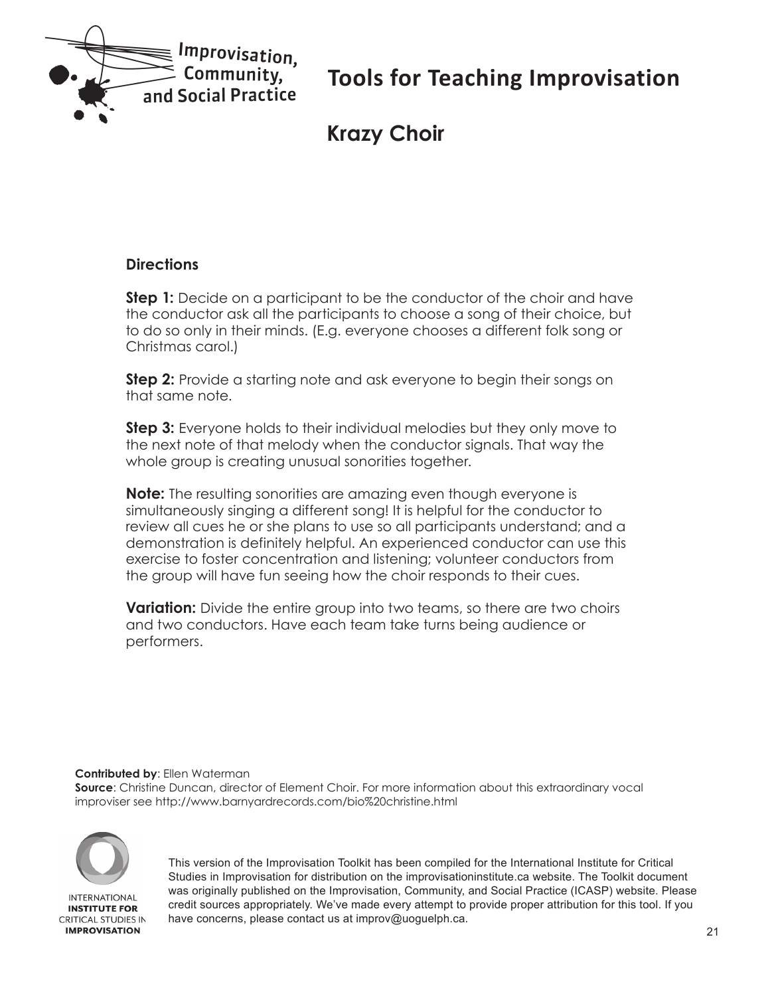<span id="page-20-0"></span>

### **Krazy Choir**

#### **Directions**

**Step 1:** Decide on a participant to be the conductor of the choir and have the conductor ask all the participants to choose a song of their choice, but to do so only in their minds. (E.g. everyone chooses a different folk song or Christmas carol.)

**Step 2:** Provide a starting note and ask everyone to begin their songs on that same note.

**Step 3:** Everyone holds to their individual melodies but they only move to the next note of that melody when the conductor signals. That way the whole group is creating unusual sonorities together.

**Note:** The resulting sonorities are amazing even though everyone is simultaneously singing a different song! It is helpful for the conductor to review all cues he or she plans to use so all participants understand; and a demonstration is definitely helpful. An experienced conductor can use this exercise to foster concentration and listening; volunteer conductors from the group will have fun seeing how the choir responds to their cues.

**Variation:** Divide the entire group into two teams, so there are two choirs and two conductors. Have each team take turns being audience or performers.

**Contributed by**: Ellen Waterman

**Source**: Christine Duncan, director of Element Choir. For more information about this extraordinary vocal improviser see http://www.barnyardrecords.com/bio%20christine.html



**INTERNATIONAL INSTITUTE FOR CRITICAL STUDIES IN IMPROVISATION**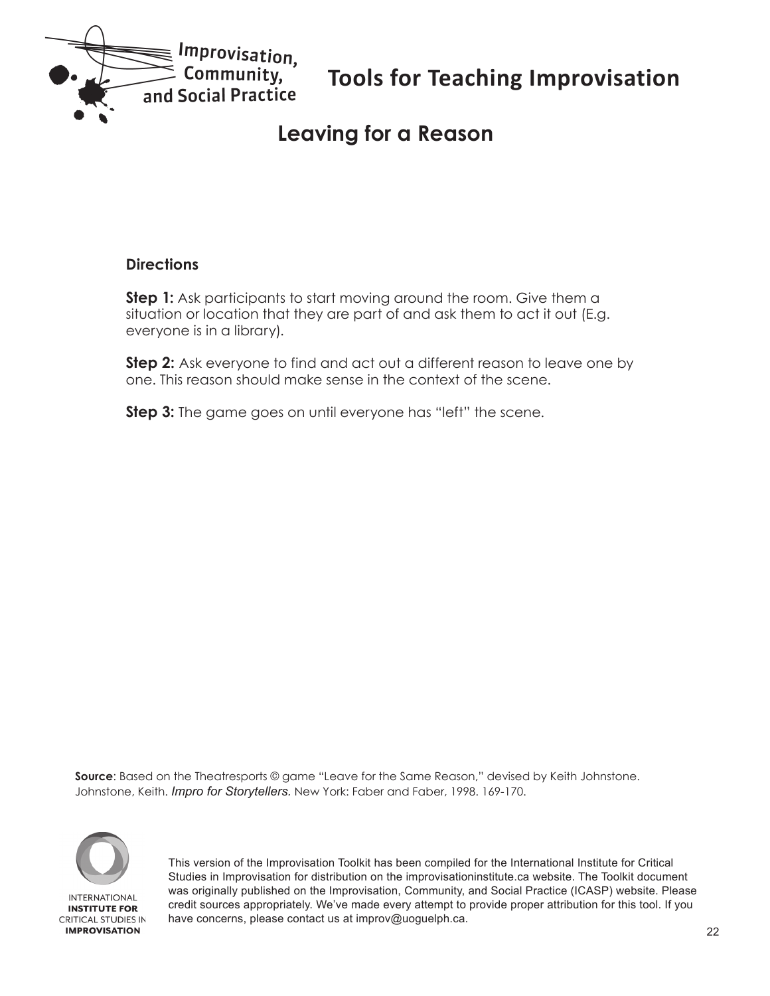<span id="page-21-0"></span>

### **Leaving for a Reason**

#### **Directions**

**Step 1:** Ask participants to start moving around the room. Give them a situation or location that they are part of and ask them to act it out (E.g. everyone is in a library).

**Step 2:** Ask everyone to find and act out a different reason to leave one by one. This reason should make sense in the context of the scene.

**Step 3:** The game goes on until everyone has "left" the scene.

**Source**: Based on the Theatresports © game "Leave for the Same Reason," devised by Keith Johnstone. Johnstone, Keith. *Impro for Storytellers.* New York: Faber and Faber, 1998. 169-170.

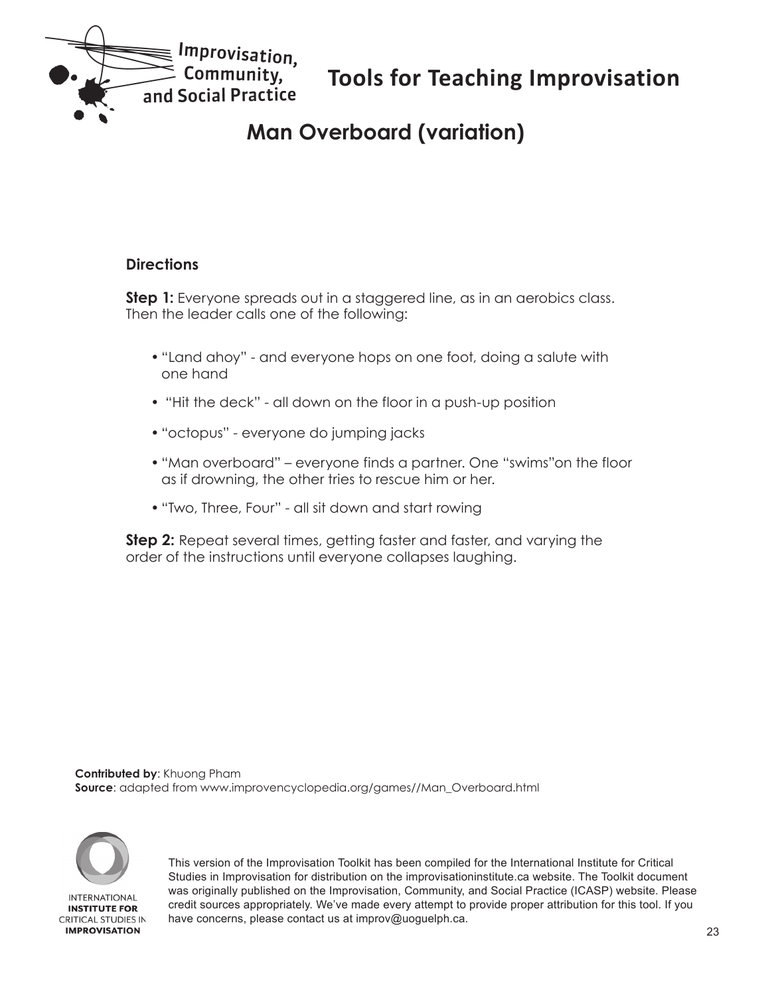<span id="page-22-0"></span>

# **Man Overboard (variation)**

#### **Directions**

**Step 1:** Everyone spreads out in a staggered line, as in an aerobics class. Then the leader calls one of the following:

- "Land ahoy" and everyone hops on one foot, doing a salute with one hand
- "Hit the deck" all down on the floor in a push-up position
- "octopus" everyone do jumping jacks
- "Man overboard" everyone finds a partner. One "swims"on the floor as if drowning, the other tries to rescue him or her.
- "Two, Three, Four" all sit down and start rowing

**Step 2:** Repeat several times, getting faster and faster, and varying the order of the instructions until everyone collapses laughing.

**Contributed by**: Khuong Pham **Source**: adapted from www.improvencyclopedia.org/games//Man\_Overboard.html

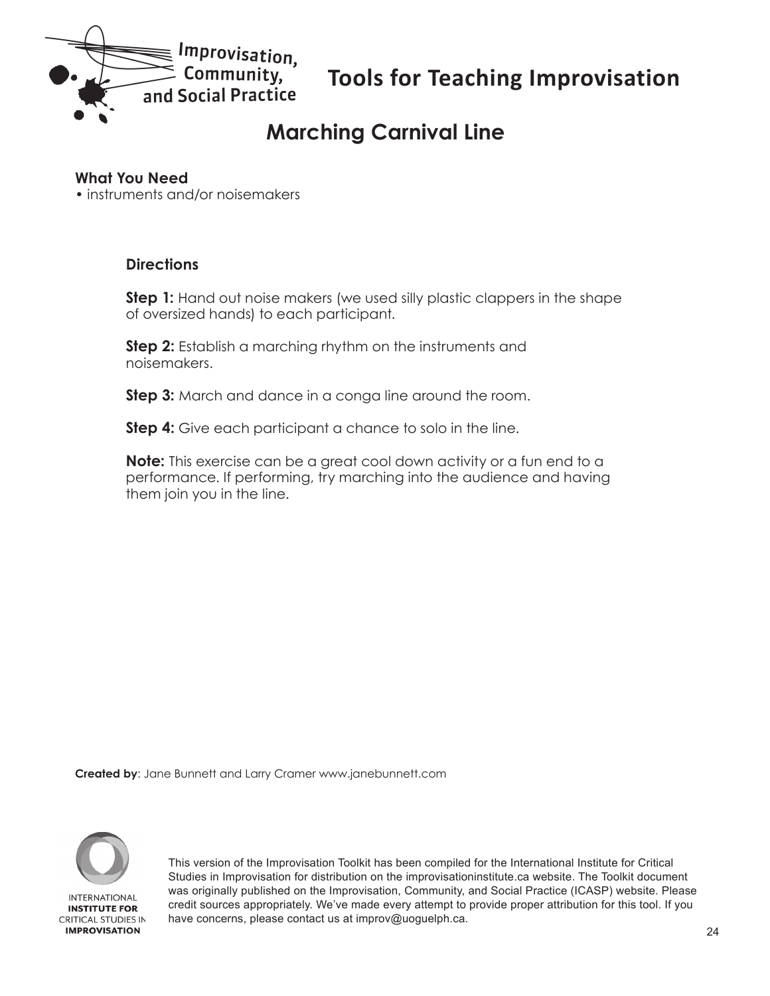<span id="page-23-0"></span>

# **Marching Carnival Line**

#### **What You Need**

• instruments and/or noisemakers

#### **Directions**

**Step 1:** Hand out noise makers (we used silly plastic clappers in the shape of oversized hands) to each participant.

**Step 2:** Establish a marching rhythm on the instruments and noisemakers.

**Step 3:** March and dance in a conga line around the room.

**Step 4:** Give each participant a chance to solo in the line.

**Note:** This exercise can be a great cool down activity or a fun end to a performance. If performing, try marching into the audience and having them join you in the line.

**Created by**: Jane Bunnett and Larry Cramer www.janebunnett.com

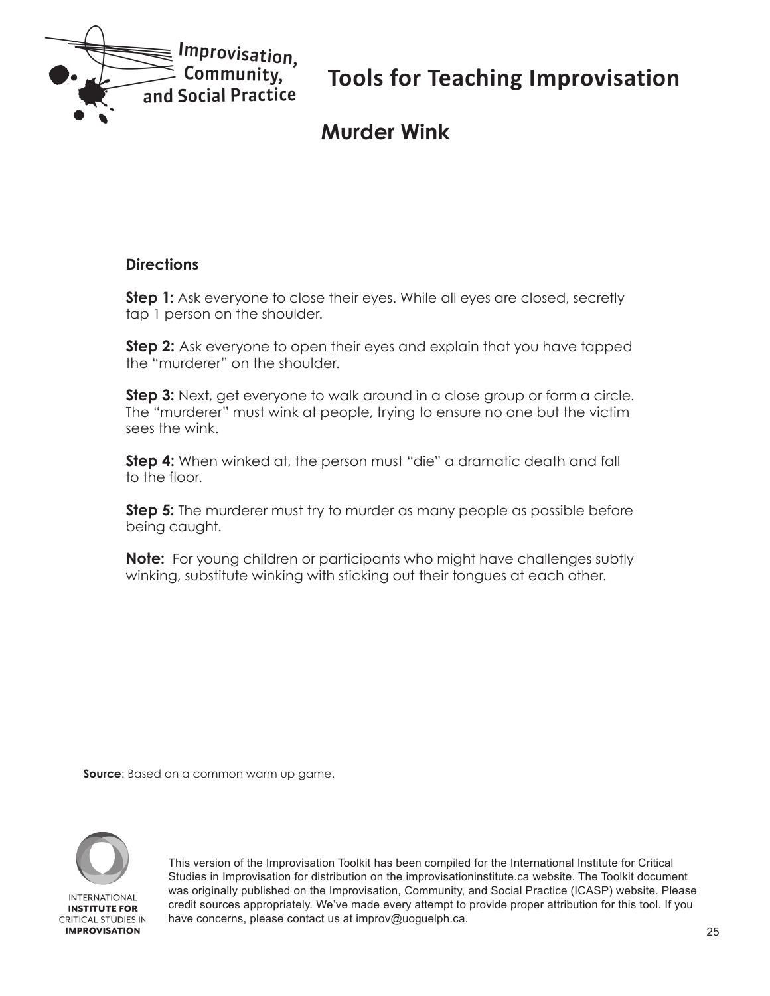<span id="page-24-0"></span>

# **Murder Wink**

#### **Directions**

**Step 1:** Ask everyone to close their eyes. While all eyes are closed, secretly tap 1 person on the shoulder.

**Step 2:** Ask everyone to open their eyes and explain that you have tapped the "murderer" on the shoulder.

**Step 3:** Next, get everyone to walk around in a close group or form a circle. The "murderer" must wink at people, trying to ensure no one but the victim sees the wink.

**Step 4:** When winked at, the person must "die" a dramatic death and fall to the floor.

**Step 5:** The murderer must try to murder as many people as possible before being caught.

**Note:** For young children or participants who might have challenges subtly winking, substitute winking with sticking out their tongues at each other.

**Source**: Based on a common warm up game.

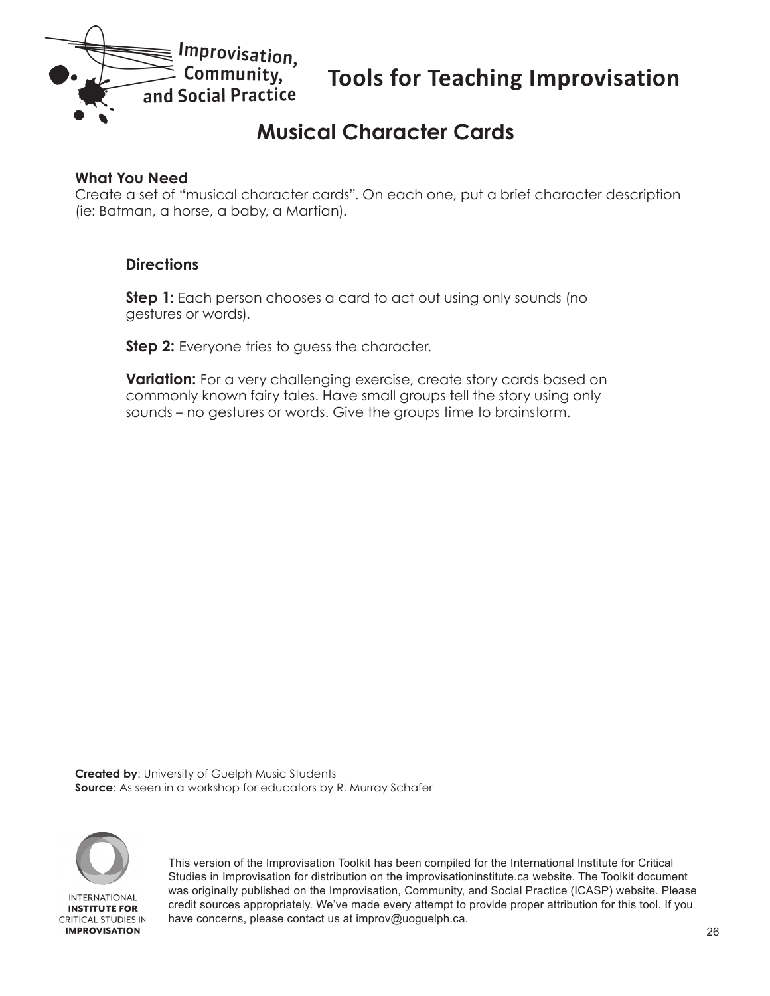<span id="page-25-0"></span>

# **Musical Character Cards**

#### **What You Need**

Create a set of "musical character cards". On each one, put a brief character description (ie: Batman, a horse, a baby, a Martian).

#### **Directions**

**Step 1:** Each person chooses a card to act out using only sounds (no gestures or words).

**Step 2:** Everyone tries to guess the character.

**Variation:** For a very challenging exercise, create story cards based on commonly known fairy tales. Have small groups tell the story using only sounds – no gestures or words. Give the groups time to brainstorm.

**Created by**: University of Guelph Music Students **Source**: As seen in a workshop for educators by R. Murray Schafer

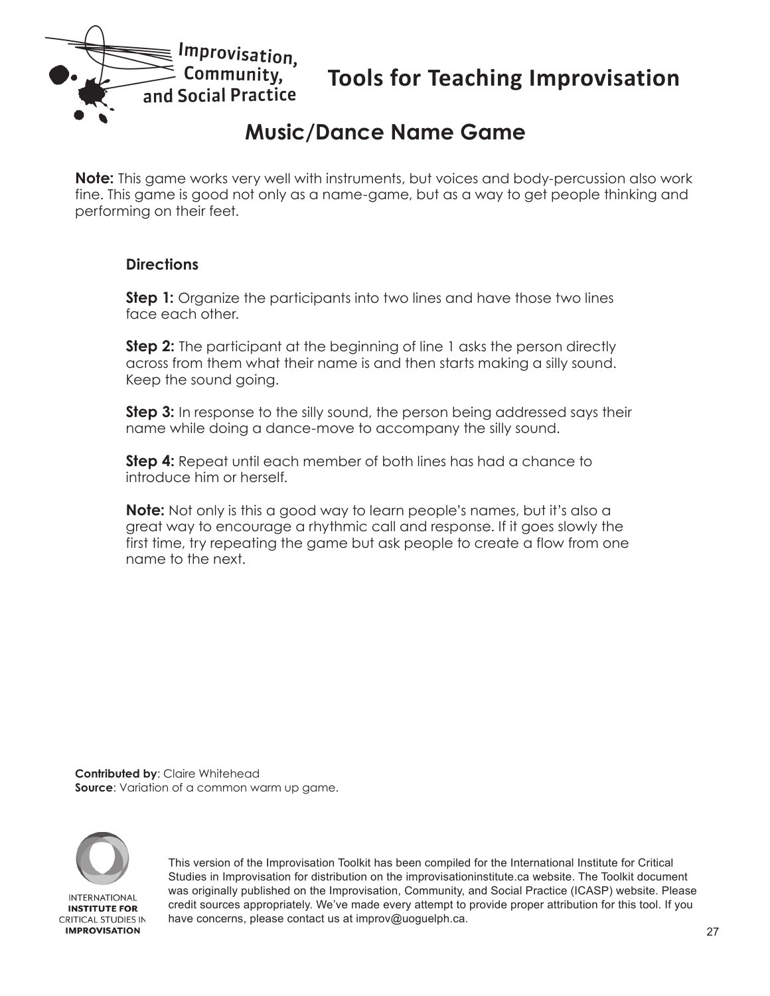<span id="page-26-0"></span>

### **Music/Dance Name Game**

**Note:** This game works very well with instruments, but voices and body-percussion also work fine. This game is good not only as a name-game, but as a way to get people thinking and performing on their feet.

#### **Directions**

**Step 1:** Organize the participants into two lines and have those two lines face each other.

**Step 2:** The participant at the beginning of line 1 asks the person directly across from them what their name is and then starts making a silly sound. Keep the sound going.

**Step 3:** In response to the silly sound, the person being addressed says their name while doing a dance-move to accompany the silly sound.

**Step 4:** Repeat until each member of both lines has had a chance to introduce him or herself.

**Note:** Not only is this a good way to learn people's names, but it's also a great way to encourage a rhythmic call and response. If it goes slowly the first time, try repeating the game but ask people to create a flow from one name to the next.

**Contributed by**: Claire Whitehead **Source**: Variation of a common warm up game.

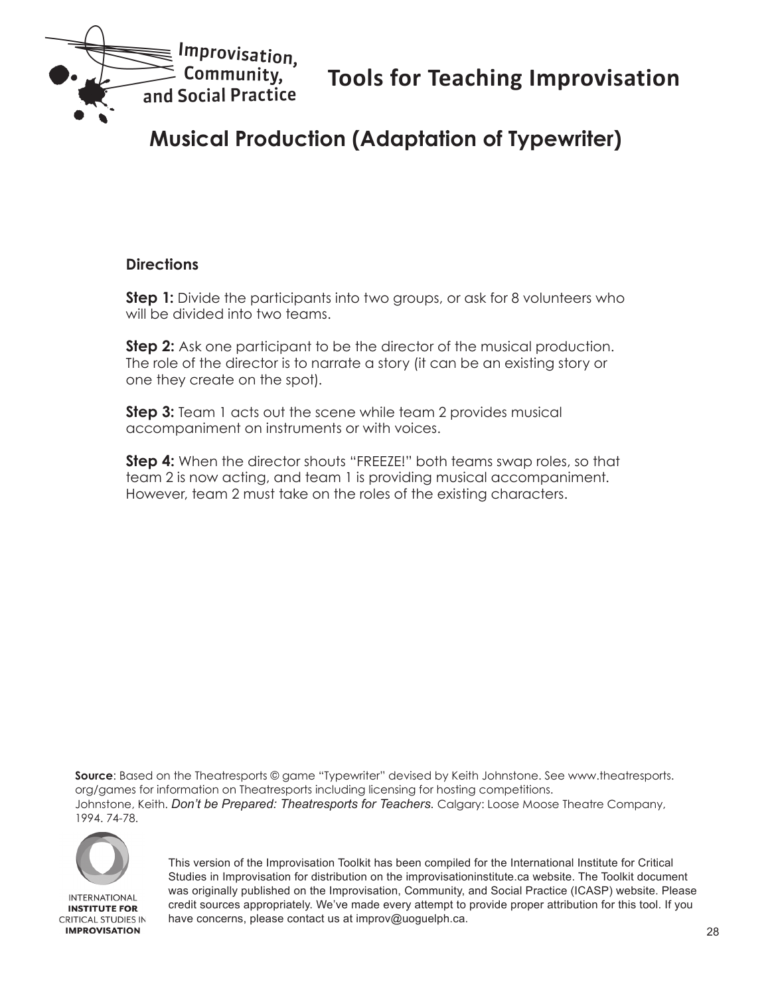<span id="page-27-0"></span>

# **Musical Production (Adaptation of Typewriter)**

#### **Directions**

**Step 1:** Divide the participants into two groups, or ask for 8 volunteers who will be divided into two teams.

**Step 2:** Ask one participant to be the director of the musical production. The role of the director is to narrate a story (it can be an existing story or one they create on the spot).

**Step 3:** Team 1 acts out the scene while team 2 provides musical accompaniment on instruments or with voices.

**Step 4:** When the director shouts "FREEZE!" both teams swap roles, so that team 2 is now acting, and team 1 is providing musical accompaniment. However, team 2 must take on the roles of the existing characters.

**Source**: Based on the Theatresports © game "Typewriter" devised by Keith Johnstone. See www.theatresports. org/games for information on Theatresports including licensing for hosting competitions. Johnstone, Keith. *Don't be Prepared: Theatresports for Teachers.* Calgary: Loose Moose Theatre Company, 1994. 74-78.



**INTERNATIONAL INSTITUTE FOR CRITICAL STUDIES IN IMPROVISATION**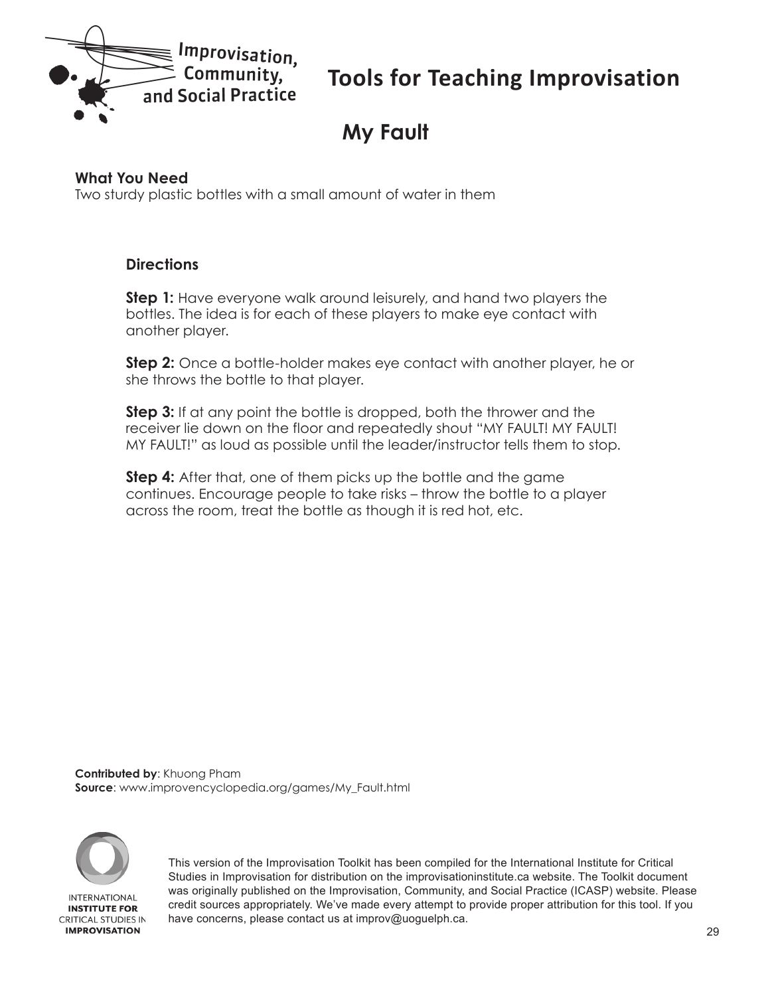<span id="page-28-0"></span>

# **My Fault**

#### **What You Need**

Two sturdy plastic bottles with a small amount of water in them

#### **Directions**

**Step 1:** Have everyone walk around leisurely, and hand two players the bottles. The idea is for each of these players to make eye contact with another player.

**Step 2:** Once a bottle-holder makes eye contact with another player, he or she throws the bottle to that player.

**Step 3:** If at any point the bottle is dropped, both the thrower and the receiver lie down on the floor and repeatedly shout "MY FAULT! MY FAULT! MY FAULT!" as loud as possible until the leader/instructor tells them to stop.

**Step 4:** After that, one of them picks up the bottle and the game continues. Encourage people to take risks – throw the bottle to a player across the room, treat the bottle as though it is red hot, etc.

**Contributed by**: Khuong Pham **Source**: www.improvencyclopedia.org/games/My\_Fault.html

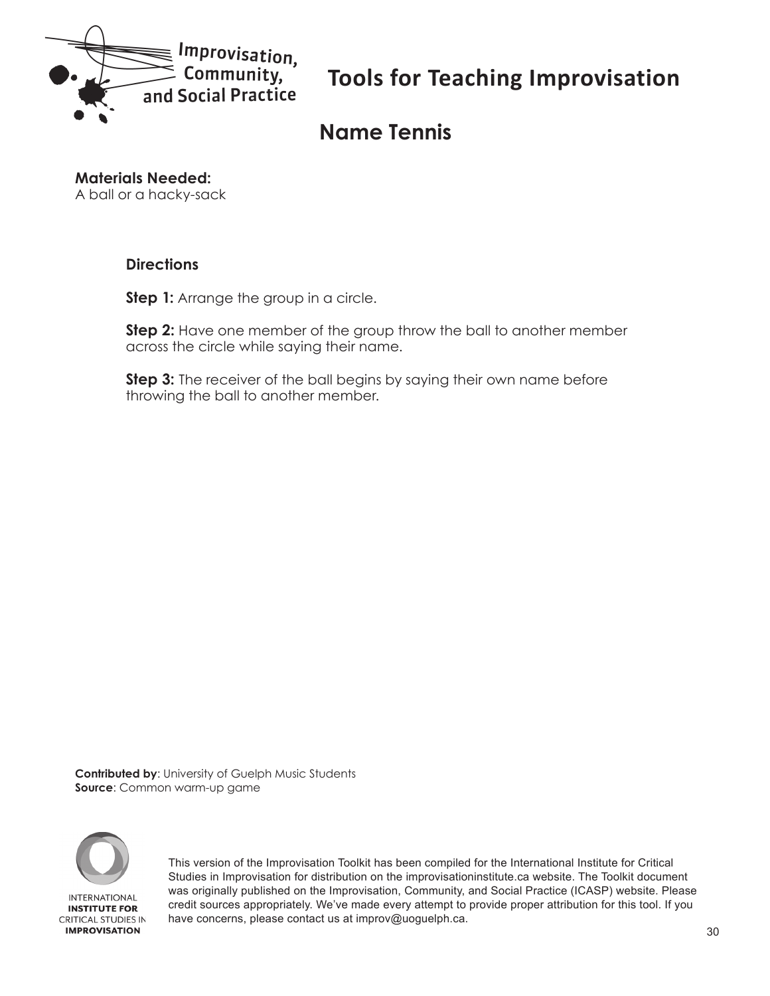<span id="page-29-0"></span>

# **Name Tennis**

**Materials Needed:**

A ball or a hacky-sack

#### **Directions**

**Step 1:** Arrange the group in a circle.

**Step 2:** Have one member of the group throw the ball to another member across the circle while saying their name.

**Step 3:** The receiver of the ball begins by saying their own name before throwing the ball to another member.

**Contributed by**: University of Guelph Music Students **Source**: Common warm-up game

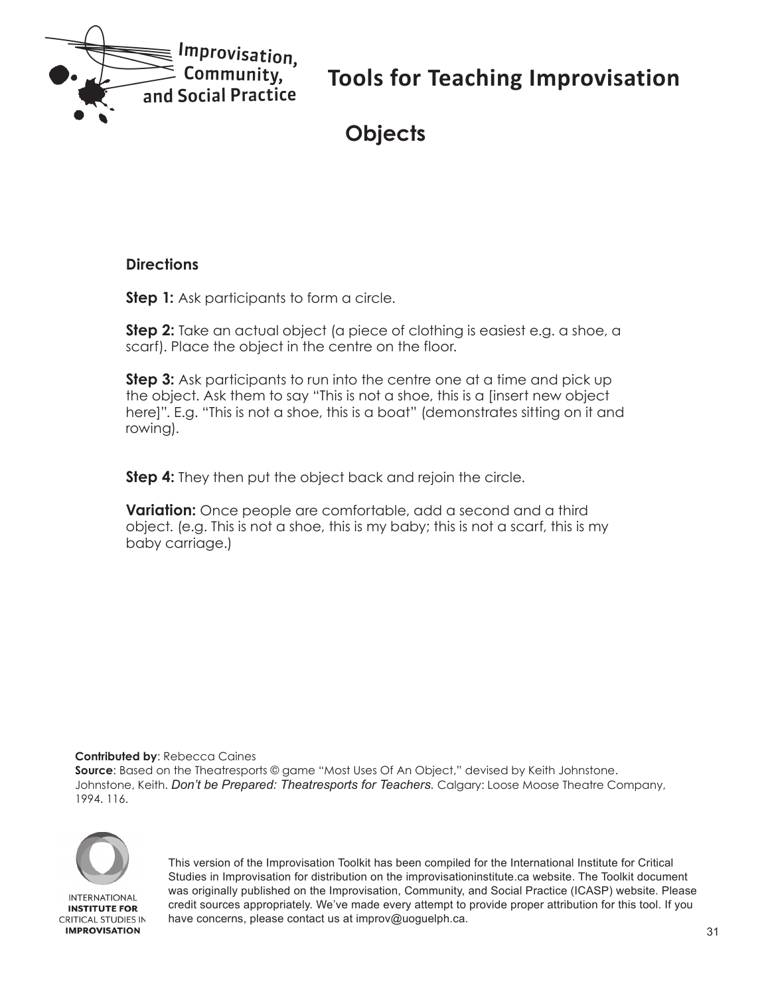<span id="page-30-0"></span>

# **Objects**

#### **Directions**

**Step 1:** Ask participants to form a circle.

**Step 2:** Take an actual object (a piece of clothing is easiest e.g. a shoe, a scarf). Place the object in the centre on the floor.

**Step 3:** Ask participants to run into the centre one at a time and pick up the object. Ask them to say "This is not a shoe, this is a [insert new object here]". E.g. "This is not a shoe, this is a boat" (demonstrates sitting on it and rowing).

**Step 4:** They then put the object back and rejoin the circle.

**Variation:** Once people are comfortable, add a second and a third object. (e.g. This is not a shoe, this is my baby; this is not a scarf, this is my baby carriage.)

**Contributed by**: Rebecca Caines

**Source**: Based on the Theatresports © game "Most Uses Of An Object," devised by Keith Johnstone. Johnstone, Keith. *Don't be Prepared: Theatresports for Teachers.* Calgary: Loose Moose Theatre Company, 1994. 116.



**INTERNATIONAL INSTITUTE FOR CRITICAL STUDIES IN IMPROVISATION**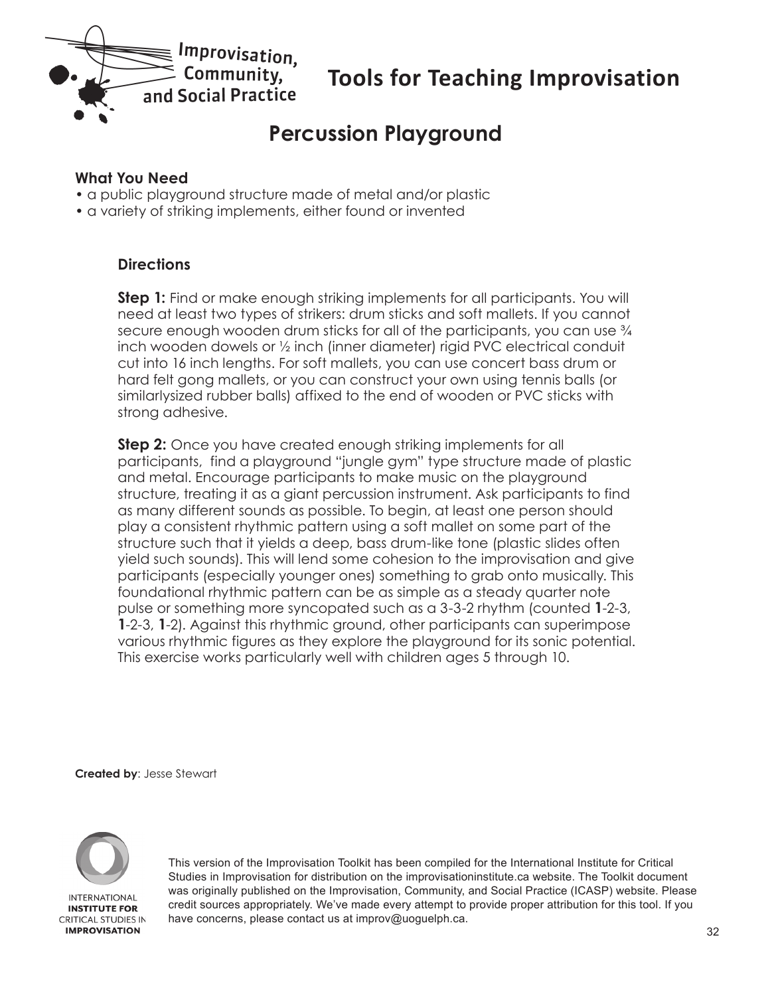<span id="page-31-0"></span>

### **Percussion Playground**

#### **What You Need**

- a public playground structure made of metal and/or plastic
- a variety of striking implements, either found or invented

#### **Directions**

**Step 1:** Find or make enough striking implements for all participants. You will need at least two types of strikers: drum sticks and soft mallets. If you cannot secure enough wooden drum sticks for all of the participants, you can use  $\frac{3}{4}$ inch wooden dowels or ½ inch (inner diameter) rigid PVC electrical conduit cut into 16 inch lengths. For soft mallets, you can use concert bass drum or hard felt gong mallets, or you can construct your own using tennis balls (or similarlysized rubber balls) affixed to the end of wooden or PVC sticks with strong adhesive.

**Step 2:** Once you have created enough striking implements for all participants, find a playground "jungle gym" type structure made of plastic and metal. Encourage participants to make music on the playground structure, treating it as a giant percussion instrument. Ask participants to find as many different sounds as possible. To begin, at least one person should play a consistent rhythmic pattern using a soft mallet on some part of the structure such that it yields a deep, bass drum-like tone (plastic slides often yield such sounds). This will lend some cohesion to the improvisation and give participants (especially younger ones) something to grab onto musically. This foundational rhythmic pattern can be as simple as a steady quarter note pulse or something more syncopated such as a 3-3-2 rhythm (counted **1**-2-3, **1**-2-3, **1**-2). Against this rhythmic ground, other participants can superimpose various rhythmic figures as they explore the playground for its sonic potential. This exercise works particularly well with children ages 5 through 10.

**Created by**: Jesse Stewart

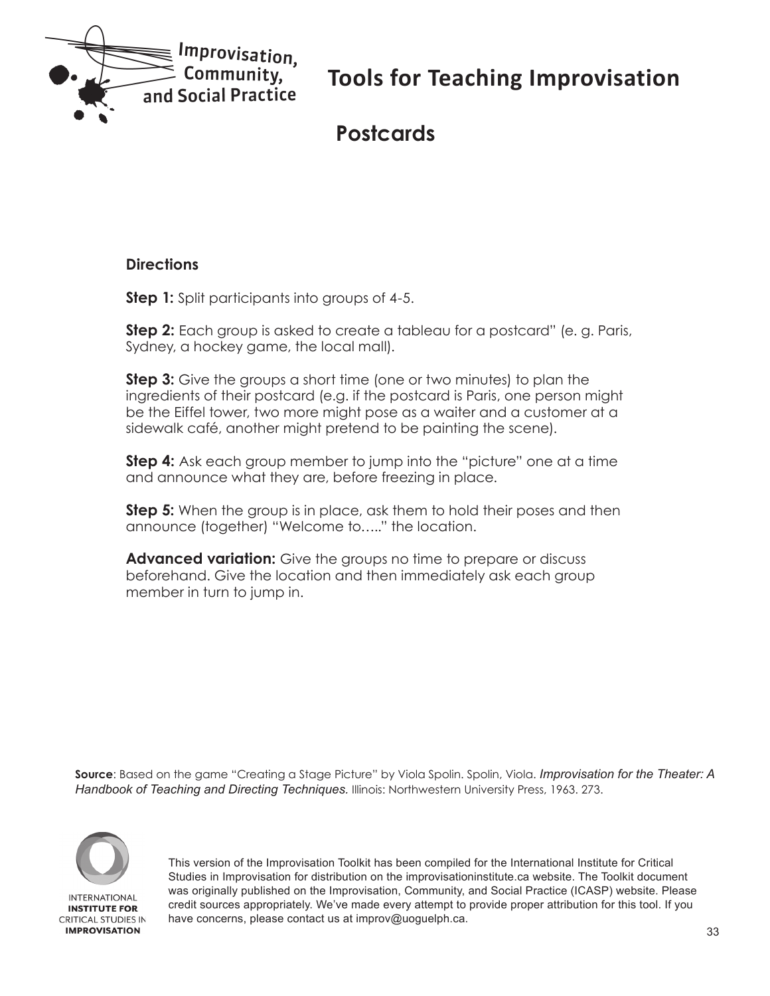<span id="page-32-0"></span>

### **Postcards**

#### **Directions**

**Step 1:** Split participants into groups of 4-5.

**Step 2:** Each group is asked to create a tableau for a postcard" (e. g. Paris, Sydney, a hockey game, the local mall).

**Step 3:** Give the groups a short time (one or two minutes) to plan the ingredients of their postcard (e.g. if the postcard is Paris, one person might be the Eiffel tower, two more might pose as a waiter and a customer at a sidewalk café, another might pretend to be painting the scene).

**Step 4:** Ask each group member to jump into the "picture" one at a time and announce what they are, before freezing in place.

**Step 5:** When the group is in place, ask them to hold their poses and then announce (together) "Welcome to….." the location.

**Advanced variation:** Give the groups no time to prepare or discuss beforehand. Give the location and then immediately ask each group member in turn to jump in.

**Source**: Based on the game "Creating a Stage Picture" by Viola Spolin. Spolin, Viola. *Improvisation for the Theater: A Handbook of Teaching and Directing Techniques.* Illinois: Northwestern University Press, 1963. 273.

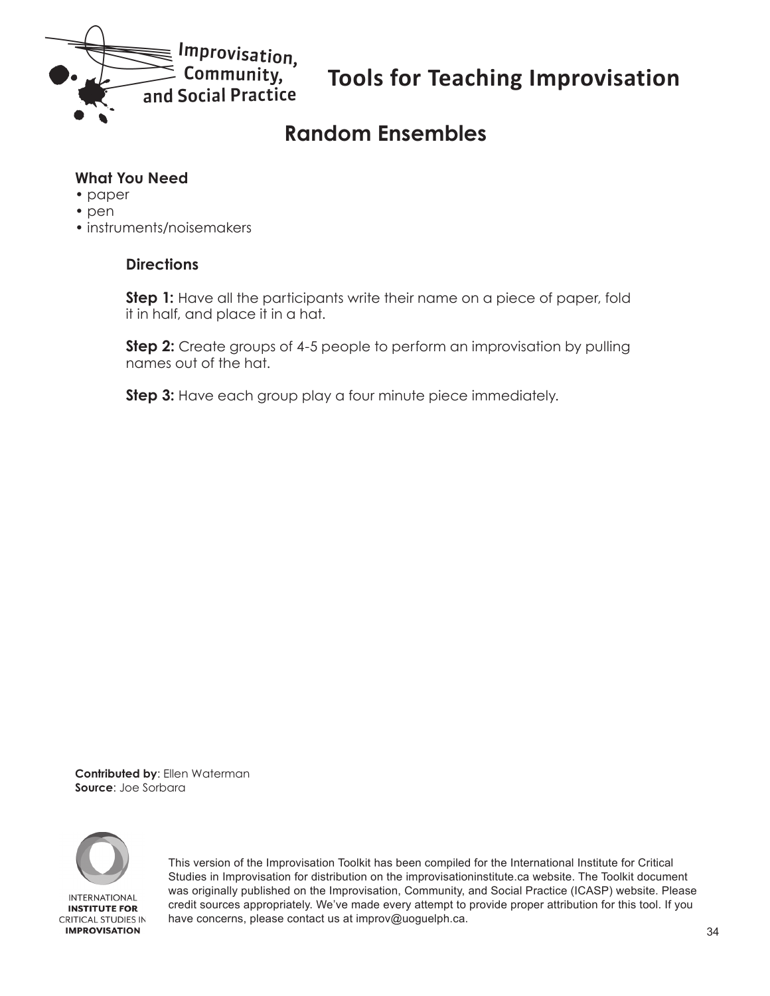<span id="page-33-0"></span>

# **Random Ensembles**

#### **What You Need**

- paper
- pen
- instruments/noisemakers

#### **Directions**

**Step 1:** Have all the participants write their name on a piece of paper, fold it in half, and place it in a hat.

**Step 2:** Create groups of 4-5 people to perform an improvisation by pulling names out of the hat.

**Step 3:** Have each group play a four minute piece immediately.

**Contributed by**: Ellen Waterman **Source**: Joe Sorbara

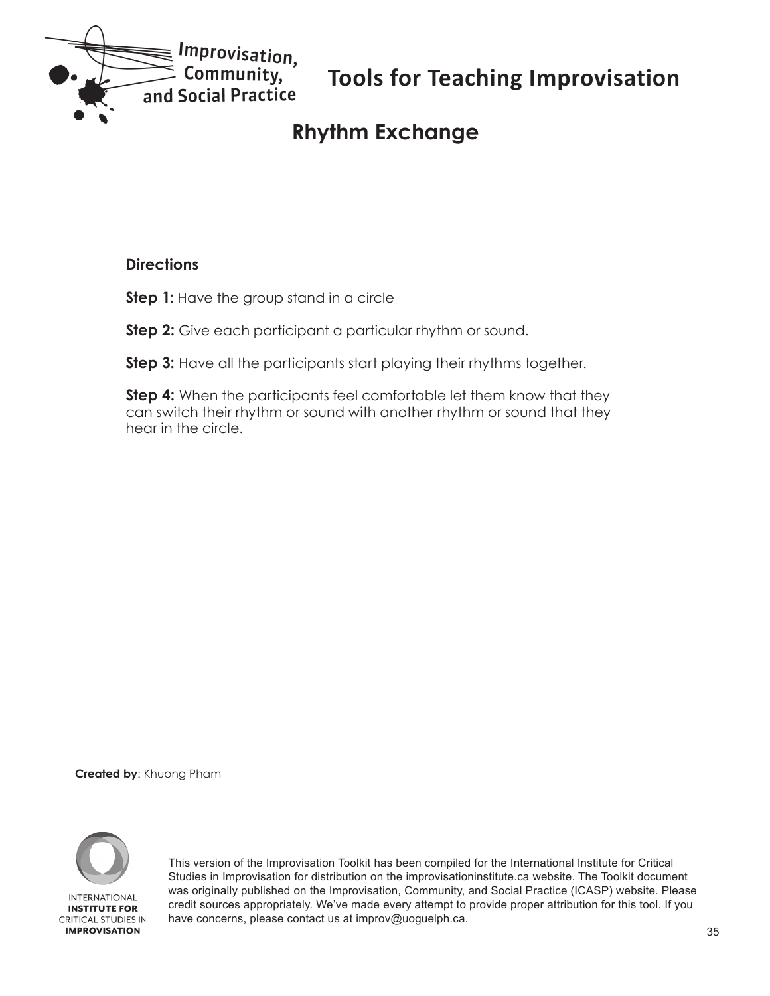<span id="page-34-0"></span>

# **Rhythm Exchange**

#### **Directions**

**Step 1:** Have the group stand in a circle

**Step 2:** Give each participant a particular rhythm or sound.

**Step 3:** Have all the participants start playing their rhythms together.

**Step 4:** When the participants feel comfortable let them know that they can switch their rhythm or sound with another rhythm or sound that they hear in the circle.

**Created by**: Khuong Pham

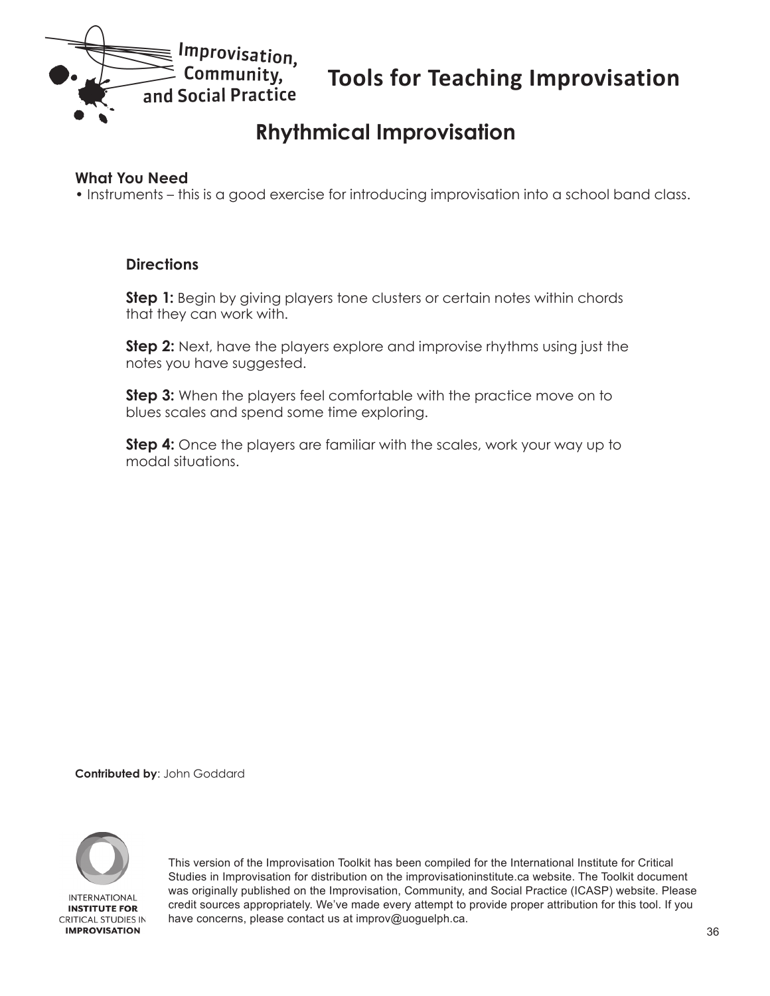<span id="page-35-0"></span>

# **Rhythmical Improvisation**

#### **What You Need**

• Instruments – this is a good exercise for introducing improvisation into a school band class.

#### **Directions**

**Step 1:** Begin by giving players tone clusters or certain notes within chords that they can work with.

**Step 2:** Next, have the players explore and improvise rhythms using just the notes you have suggested.

**Step 3:** When the players feel comfortable with the practice move on to blues scales and spend some time exploring.

**Step 4:** Once the players are familiar with the scales, work your way up to modal situations.

**Contributed by**: John Goddard

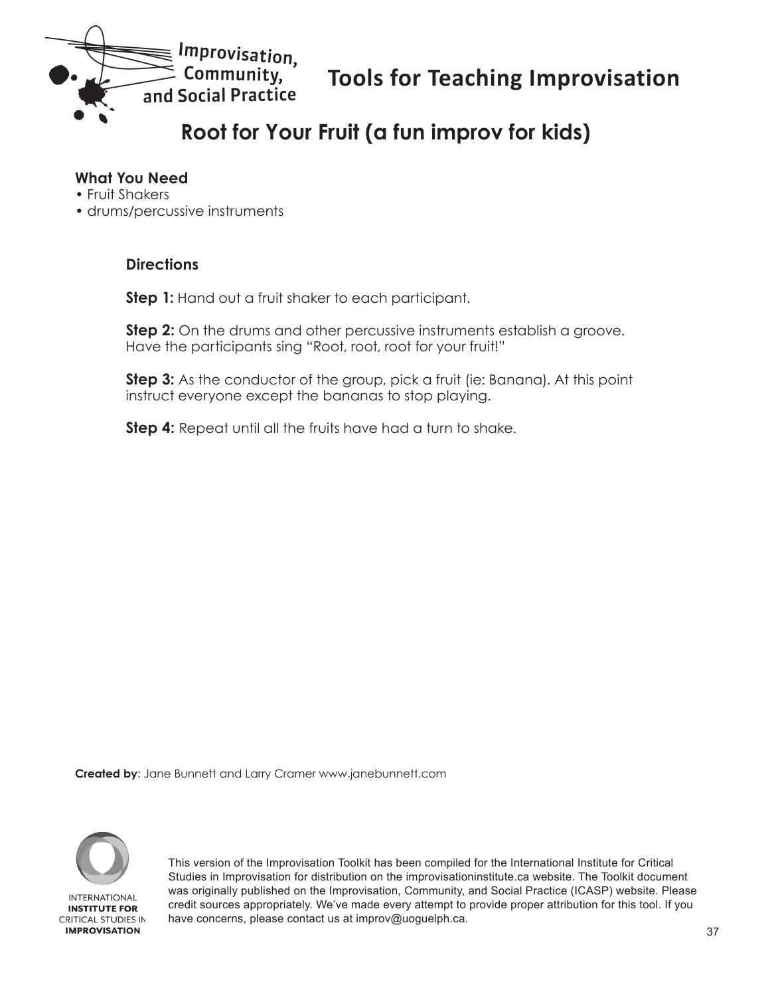<span id="page-36-0"></span>

# **Root for Your Fruit (a fun improv for kids)**

#### **What You Need**

- Fruit Shakers
- drums/percussive instruments

#### **Directions**

**Step 1:** Hand out a fruit shaker to each participant.

**Step 2:** On the drums and other percussive instruments establish a groove. Have the participants sing "Root, root, root for your fruit!"

**Step 3:** As the conductor of the group, pick a fruit (ie: Banana). At this point instruct everyone except the bananas to stop playing.

**Step 4:** Repeat until all the fruits have had a turn to shake.

**Created by**: Jane Bunnett and Larry Cramer www.janebunnett.com

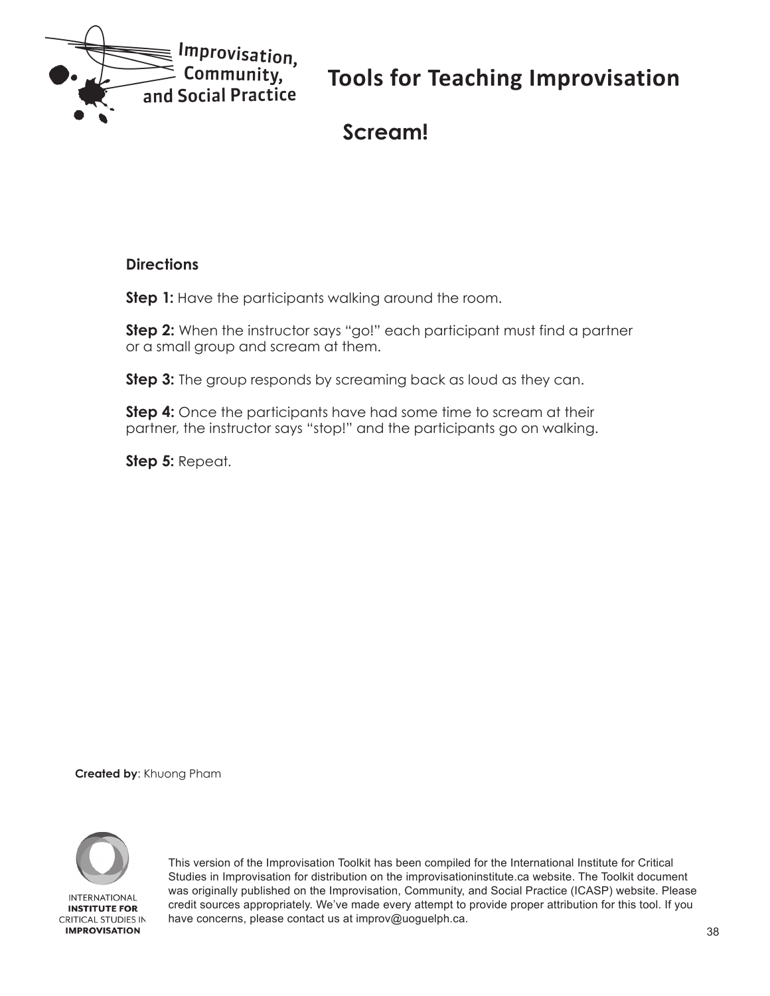<span id="page-37-0"></span>

### **Scream!**

#### **Directions**

**Step 1:** Have the participants walking around the room.

**Step 2:** When the instructor says "go!" each participant must find a partner or a small group and scream at them.

**Step 3:** The group responds by screaming back as loud as they can.

**Step 4:** Once the participants have had some time to scream at their partner, the instructor says "stop!" and the participants go on walking.

**Step 5:** Repeat.

**Created by**: Khuong Pham

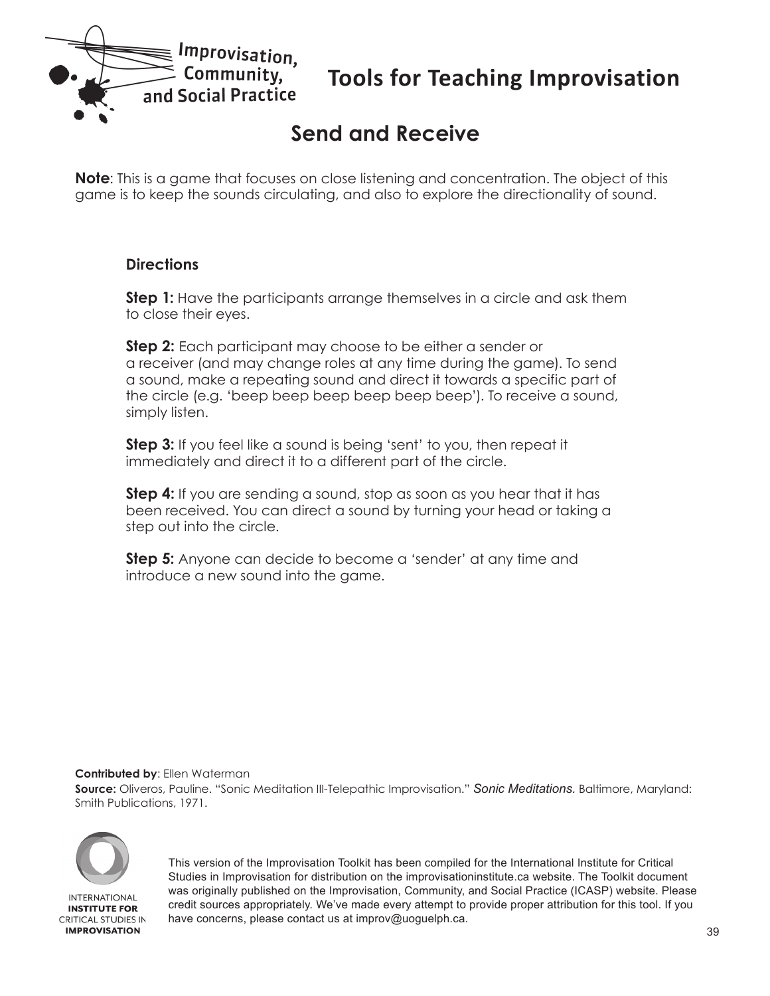<span id="page-38-0"></span>

# **Send and Receive**

**Note**: This is a game that focuses on close listening and concentration. The object of this game is to keep the sounds circulating, and also to explore the directionality of sound.

#### **Directions**

**Step 1:** Have the participants arrange themselves in a circle and ask them to close their eyes.

**Step 2:** Each participant may choose to be either a sender or a receiver (and may change roles at any time during the game). To send a sound, make a repeating sound and direct it towards a specific part of the circle (e.g. 'beep beep beep beep beep beep'). To receive a sound, simply listen.

**Step 3:** If you feel like a sound is being 'sent' to you, then repeat it immediately and direct it to a different part of the circle.

**Step 4:** If you are sending a sound, stop as soon as you hear that it has been received. You can direct a sound by turning your head or taking a step out into the circle.

**Step 5:** Anyone can decide to become a 'sender' at any time and introduce a new sound into the game.

#### **Contributed by**: Ellen Waterman

**Source:** Oliveros, Pauline. "Sonic Meditation III-Telepathic Improvisation." *Sonic Meditations.* Baltimore, Maryland: Smith Publications, 1971.



**IMPROVISATION**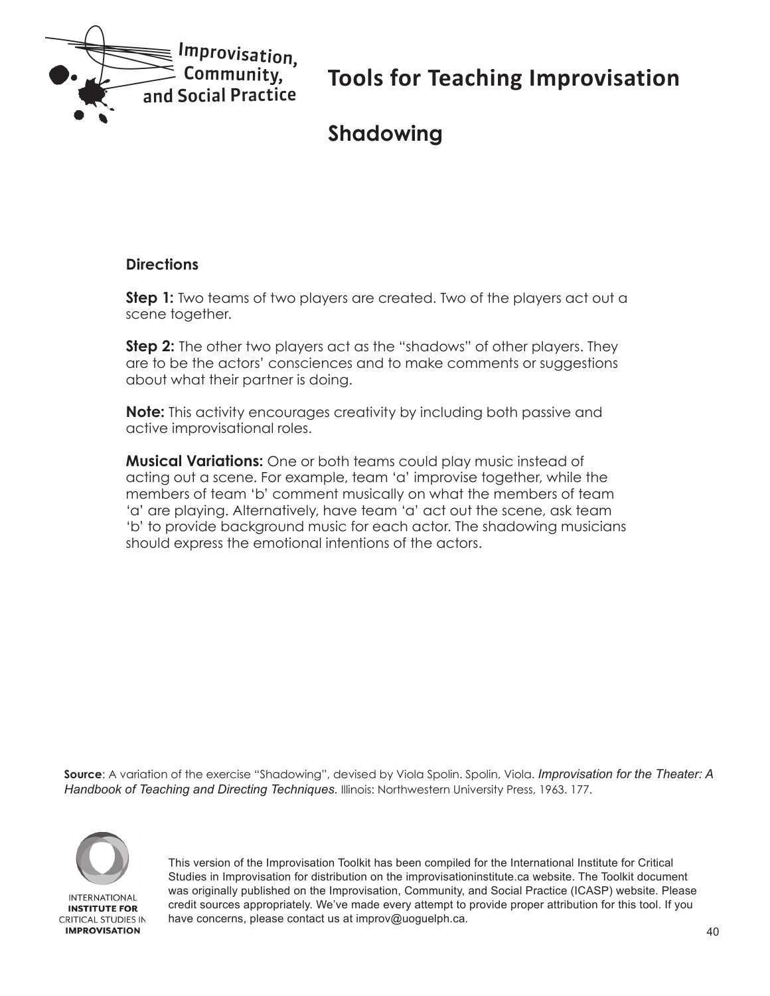<span id="page-39-0"></span>

# **Shadowing**

#### **Directions**

**Step 1:** Two teams of two players are created. Two of the players act out a scene together.

**Step 2:** The other two players act as the "shadows" of other players. They are to be the actors' consciences and to make comments or suggestions about what their partner is doing.

**Note:** This activity encourages creativity by including both passive and active improvisational roles.

**Musical Variations:** One or both teams could play music instead of acting out a scene. For example, team 'a' improvise together, while the members of team 'b' comment musically on what the members of team 'a' are playing. Alternatively, have team 'a' act out the scene, ask team 'b' to provide background music for each actor. The shadowing musicians should express the emotional intentions of the actors.

**Source**: A variation of the exercise "Shadowing", devised by Viola Spolin. Spolin, Viola. *Improvisation for the Theater: A Handbook of Teaching and Directing Techniques.* Illinois: Northwestern University Press, 1963. 177.

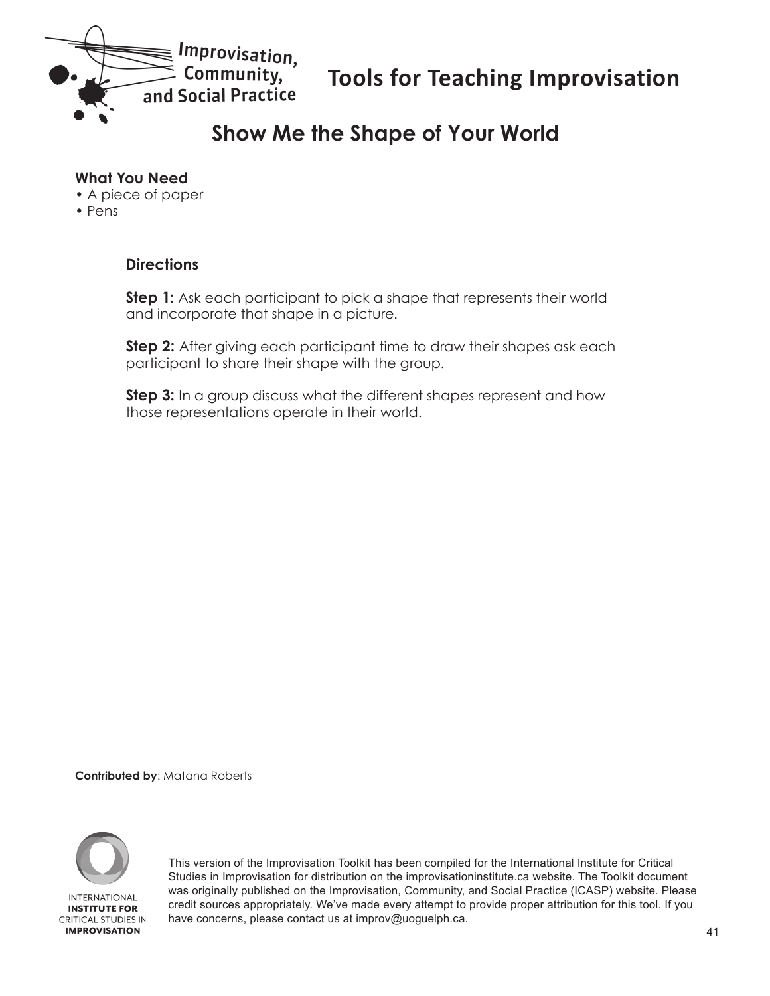<span id="page-40-0"></span>

### **Show Me the Shape of Your World**

#### **What You Need**

- A piece of paper
- Pens

#### **Directions**

**Step 1:** Ask each participant to pick a shape that represents their world and incorporate that shape in a picture.

**Step 2:** After giving each participant time to draw their shapes ask each participant to share their shape with the group.

**Step 3:** In a group discuss what the different shapes represent and how those representations operate in their world.

**Contributed by**: Matana Roberts

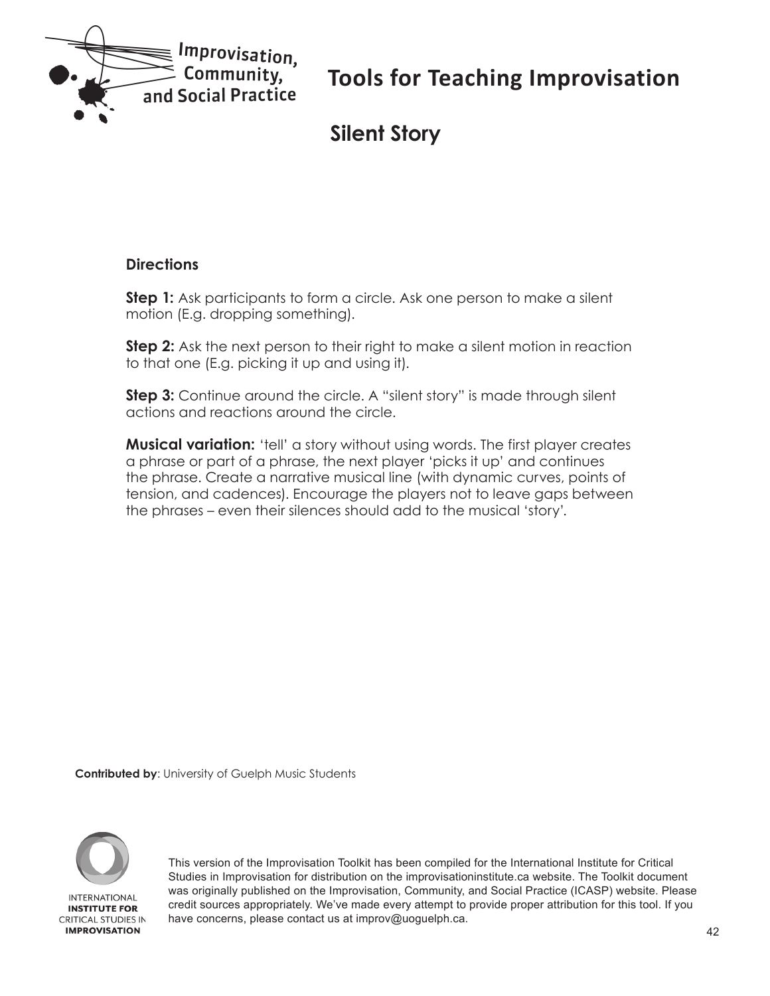<span id="page-41-0"></span>

# **Silent Story**

#### **Directions**

**Step 1:** Ask participants to form a circle. Ask one person to make a silent motion (E.g. dropping something).

**Step 2:** Ask the next person to their right to make a silent motion in reaction to that one (E.g. picking it up and using it).

**Step 3:** Continue around the circle. A "silent story" is made through silent actions and reactions around the circle.

**Musical variation:** 'tell' a story without using words. The first player creates a phrase or part of a phrase, the next player 'picks it up' and continues the phrase. Create a narrative musical line (with dynamic curves, points of tension, and cadences). Encourage the players not to leave gaps between the phrases – even their silences should add to the musical 'story'.

**Contributed by**: University of Guelph Music Students

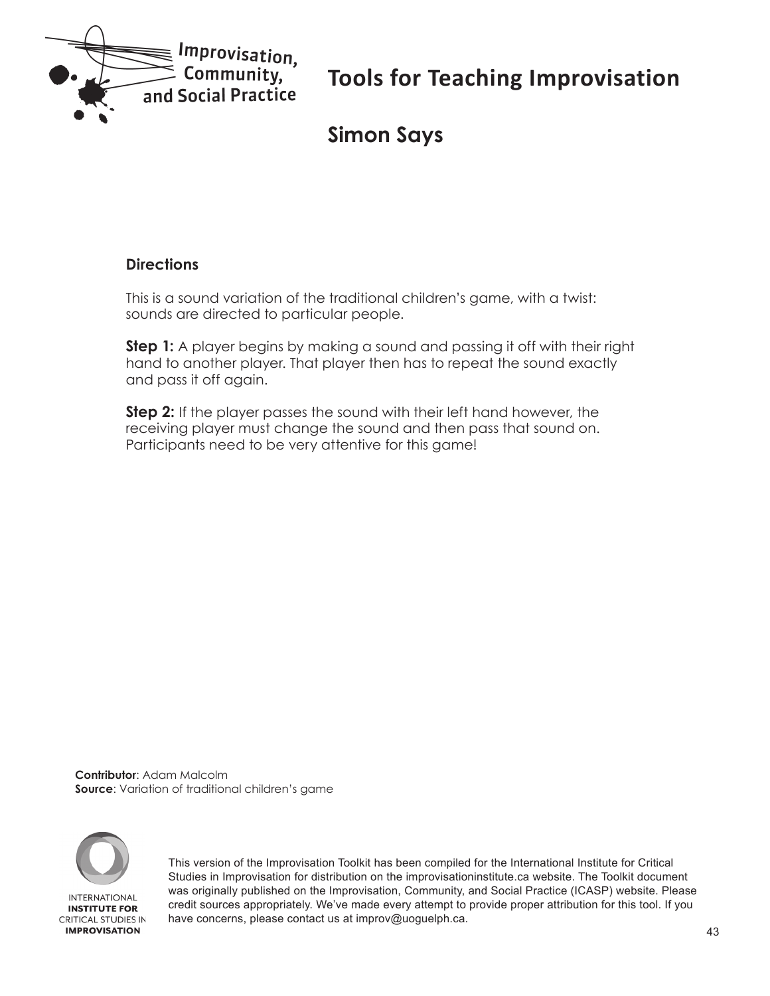<span id="page-42-0"></span>

# **Simon Says**

#### **Directions**

This is a sound variation of the traditional children's game, with a twist: sounds are directed to particular people.

**Step 1:** A player begins by making a sound and passing it off with their right hand to another player. That player then has to repeat the sound exactly and pass it off again.

**Step 2:** If the player passes the sound with their left hand however, the receiving player must change the sound and then pass that sound on. Participants need to be very attentive for this game!

**Contributor**: Adam Malcolm **Source**: Variation of traditional children's game

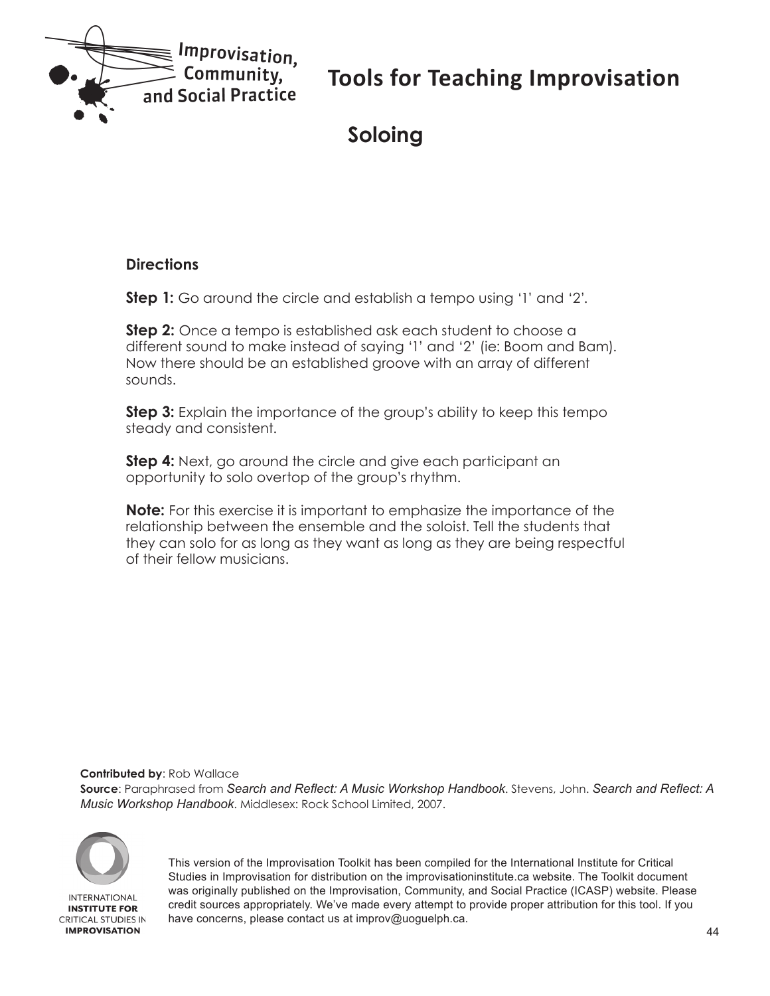<span id="page-43-0"></span>

# **Soloing**

#### **Directions**

**Step 1:** Go around the circle and establish a tempo using '1' and '2'.

**Step 2:** Once a tempo is established ask each student to choose a different sound to make instead of saying '1' and '2' (ie: Boom and Bam). Now there should be an established groove with an array of different sounds.

**Step 3:** Explain the importance of the group's ability to keep this tempo steady and consistent.

**Step 4:** Next, go around the circle and give each participant an opportunity to solo overtop of the group's rhythm.

**Note:** For this exercise it is important to emphasize the importance of the relationship between the ensemble and the soloist. Tell the students that they can solo for as long as they want as long as they are being respectful of their fellow musicians.

**Contributed by**: Rob Wallace

**Source**: Paraphrased from *Search and Reflect: A Music Workshop Handbook*. Stevens, John. *Search and Reflect: A Music Workshop Handbook*. Middlesex: Rock School Limited, 2007.



**INTERNATIONAL INSTITUTE FOR CRITICAL STUDIES IN IMPROVISATION**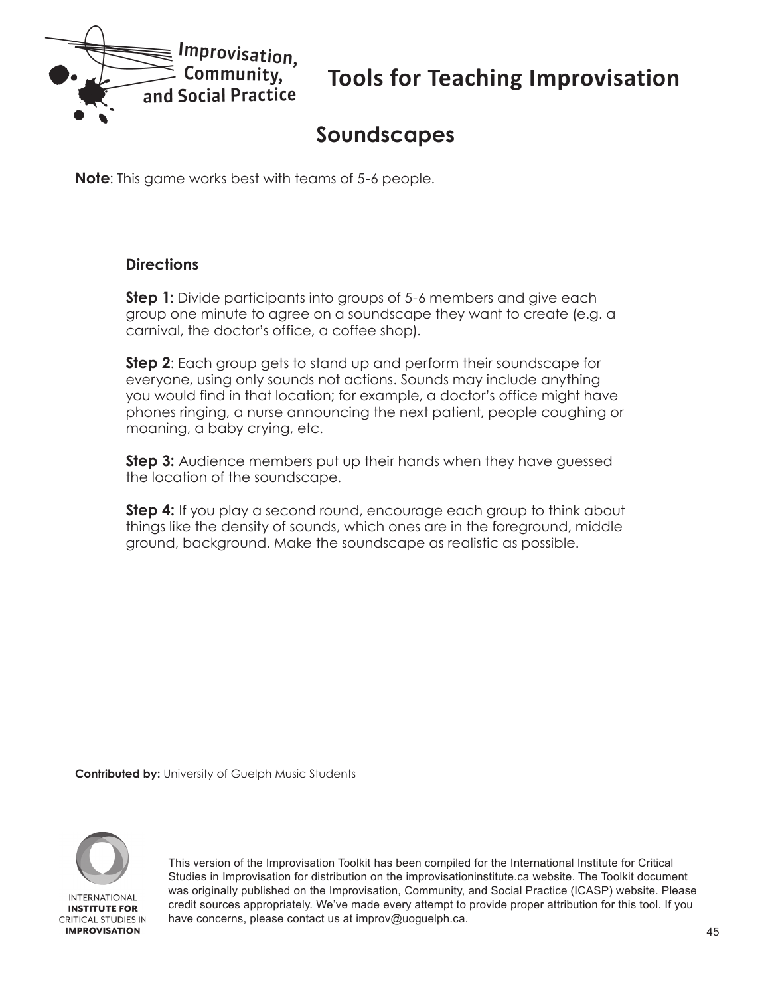<span id="page-44-0"></span>

# **Soundscapes**

**Note**: This game works best with teams of 5-6 people.

#### **Directions**

**Step 1:** Divide participants into groups of 5-6 members and give each group one minute to agree on a soundscape they want to create (e.g. a carnival, the doctor's office, a coffee shop).

**Step 2**: Each group gets to stand up and perform their soundscape for everyone, using only sounds not actions. Sounds may include anything you would find in that location; for example, a doctor's office might have phones ringing, a nurse announcing the next patient, people coughing or moaning, a baby crying, etc.

**Step 3:** Audience members put up their hands when they have quessed the location of the soundscape.

**Step 4:** If you play a second round, encourage each group to think about things like the density of sounds, which ones are in the foreground, middle ground, background. Make the soundscape as realistic as possible.

**Contributed by:** University of Guelph Music Students

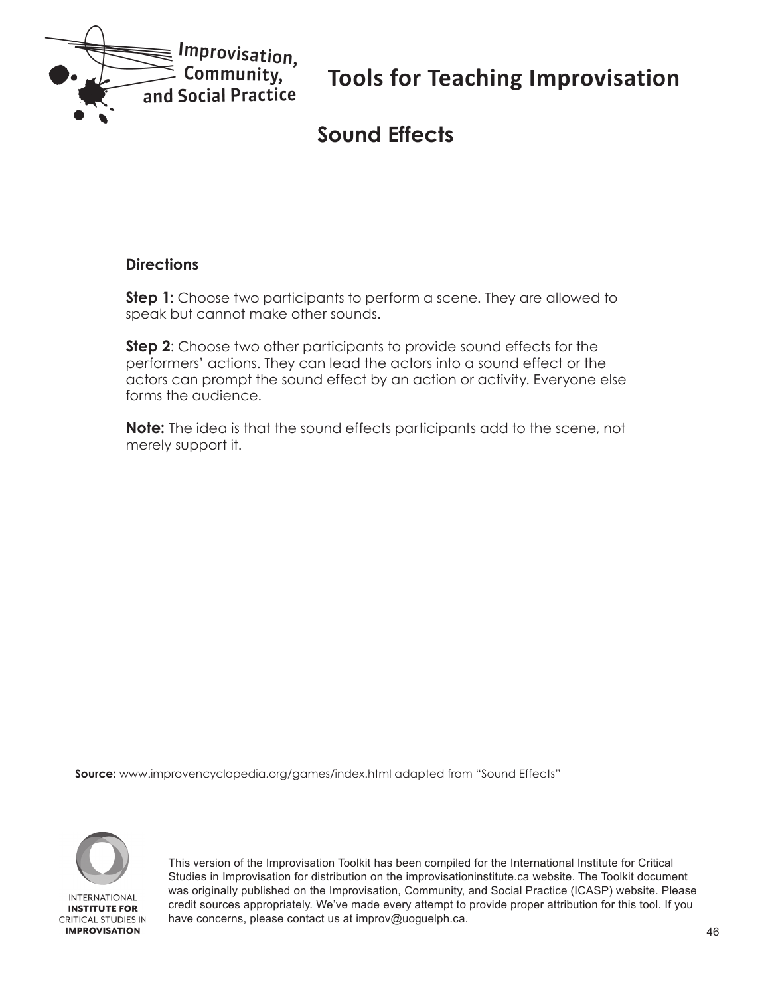<span id="page-45-0"></span>

# **Sound Effects**

#### **Directions**

**Step 1:** Choose two participants to perform a scene. They are allowed to speak but cannot make other sounds.

**Step 2**: Choose two other participants to provide sound effects for the performers' actions. They can lead the actors into a sound effect or the actors can prompt the sound effect by an action or activity. Everyone else forms the audience.

**Note:** The idea is that the sound effects participants add to the scene, not merely support it.

**Source:** www.improvencyclopedia.org/games/index.html adapted from "Sound Effects"



**INSTITUTE FOR CRITICAL STUDIES IN IMPROVISATION**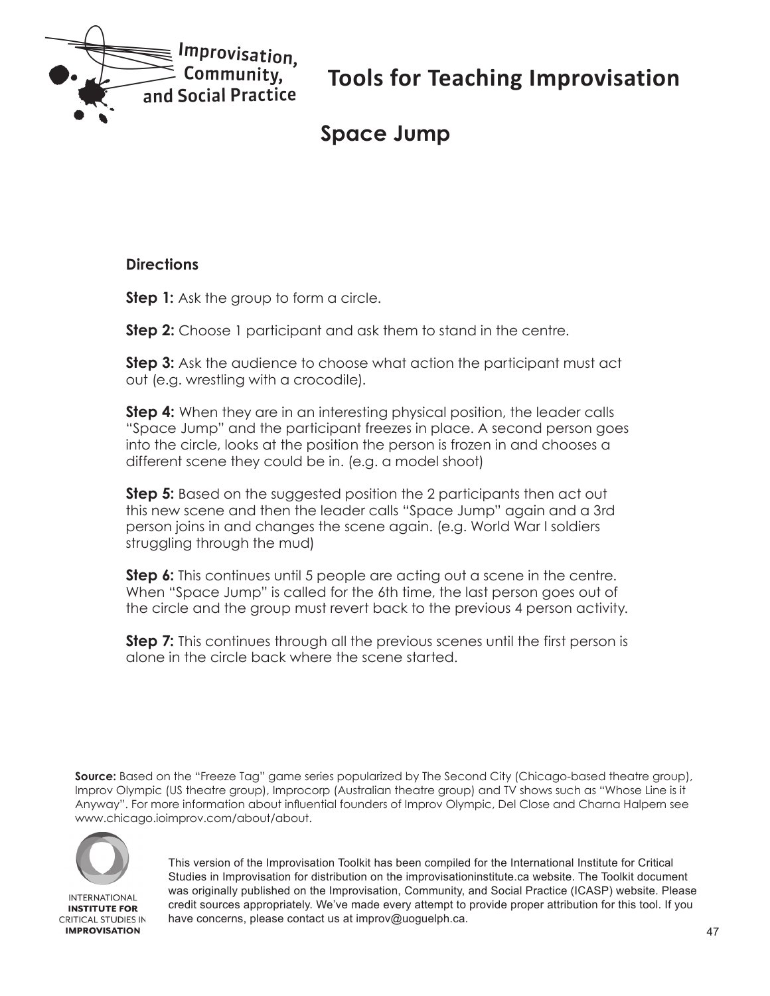<span id="page-46-0"></span>

# **Space Jump**

#### **Directions**

**Step 1:** Ask the group to form a circle.

**Step 2:** Choose 1 participant and ask them to stand in the centre.

**Step 3:** Ask the audience to choose what action the participant must act out (e.g. wrestling with a crocodile).

**Step 4:** When they are in an interesting physical position, the leader calls "Space Jump" and the participant freezes in place. A second person goes into the circle, looks at the position the person is frozen in and chooses a different scene they could be in. (e.g. a model shoot)

**Step 5:** Based on the suggested position the 2 participants then act out this new scene and then the leader calls "Space Jump" again and a 3rd person joins in and changes the scene again. (e.g. World War I soldiers struggling through the mud)

**Step 6:** This continues until 5 people are acting out a scene in the centre. When "Space Jump" is called for the 6th time, the last person goes out of the circle and the group must revert back to the previous 4 person activity.

**Step 7:** This continues through all the previous scenes until the first person is alone in the circle back where the scene started.

**Source:** Based on the "Freeze Tag" game series popularized by The Second City (Chicago-based theatre group), Improv Olympic (US theatre group), Improcorp (Australian theatre group) and TV shows such as "Whose Line is it Anyway". For more information about influential founders of Improv Olympic, Del Close and Charna Halpern see www.chicago.ioimprov.com/about/about.



**INTERNATIONAL INSTITUTE FOR CRITICAL STUDIES IN IMPROVISATION**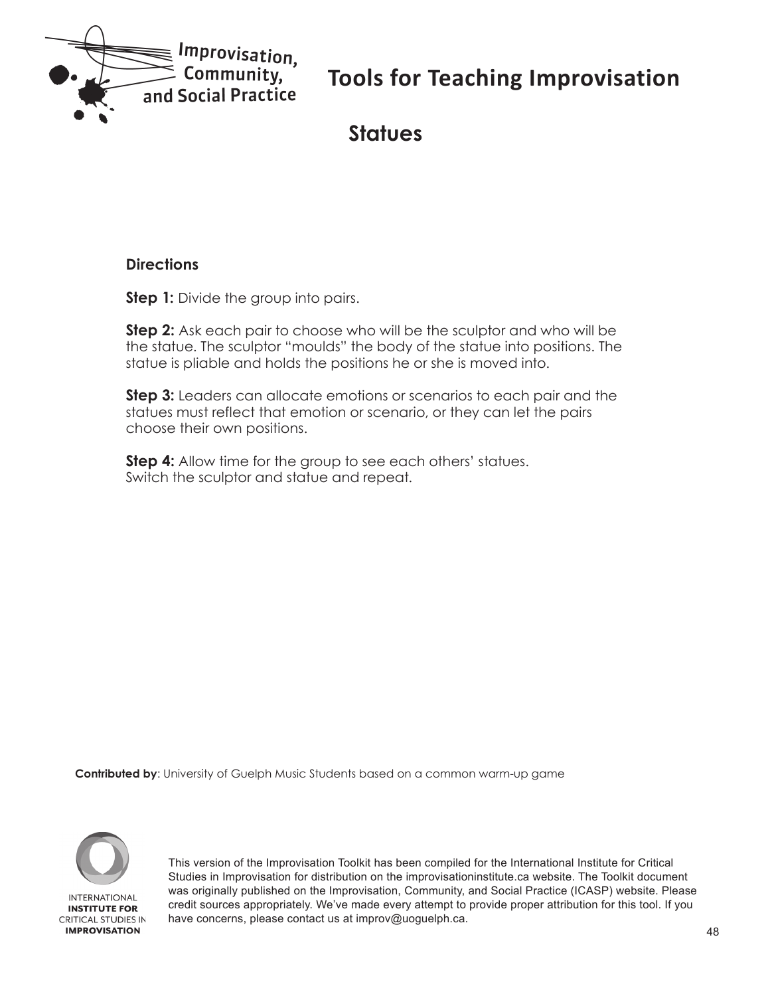<span id="page-47-0"></span>

### **Statues**

#### **Directions**

**Step 1:** Divide the group into pairs.

**Step 2:** Ask each pair to choose who will be the sculptor and who will be the statue. The sculptor "moulds" the body of the statue into positions. The statue is pliable and holds the positions he or she is moved into.

**Step 3:** Leaders can allocate emotions or scenarios to each pair and the statues must reflect that emotion or scenario, or they can let the pairs choose their own positions.

**Step 4:** Allow time for the group to see each others' statues. Switch the sculptor and statue and repeat.

**Contributed by**: University of Guelph Music Students based on a common warm-up game

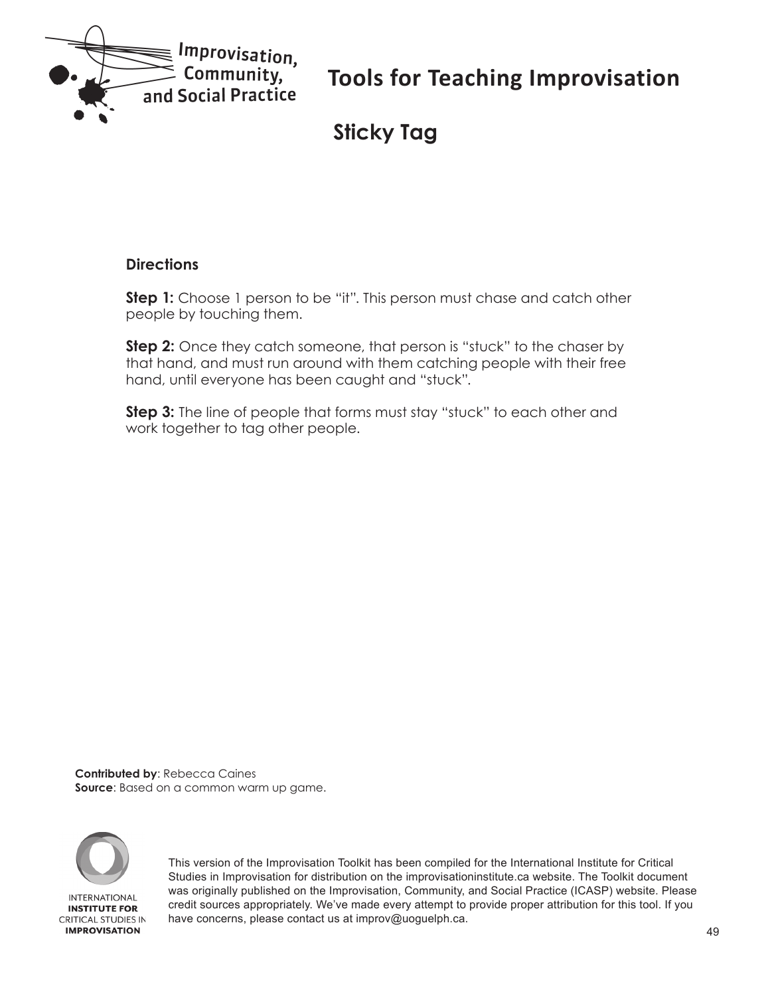<span id="page-48-0"></span>

# **Sticky Tag**

#### **Directions**

**Step 1:** Choose 1 person to be "it". This person must chase and catch other people by touching them.

**Step 2:** Once they catch someone, that person is "stuck" to the chaser by that hand, and must run around with them catching people with their free hand, until everyone has been caught and "stuck".

**Step 3:** The line of people that forms must stay "stuck" to each other and work together to tag other people.

**Contributed by**: Rebecca Caines **Source**: Based on a common warm up game.

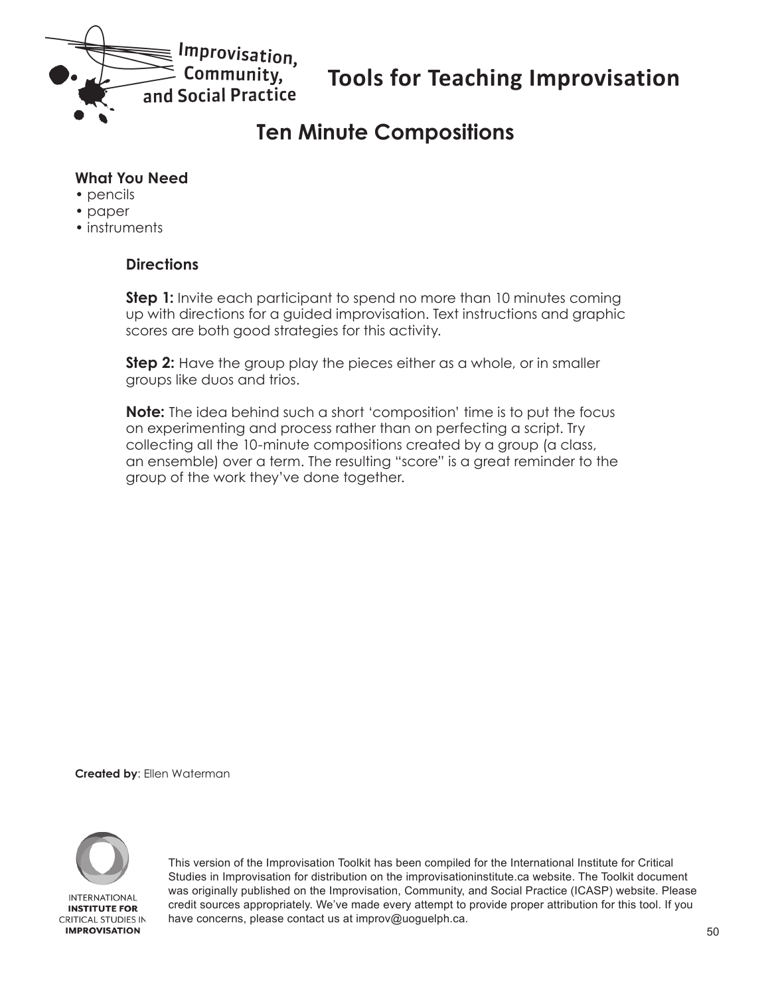<span id="page-49-0"></span>

# **Ten Minute Compositions**

#### **What You Need**

- pencils
- paper
- instruments

#### **Directions**

**Step 1:** Invite each participant to spend no more than 10 minutes coming up with directions for a guided improvisation. Text instructions and graphic scores are both good strategies for this activity.

**Step 2:** Have the group play the pieces either as a whole, or in smaller groups like duos and trios.

**Note:** The idea behind such a short 'composition' time is to put the focus on experimenting and process rather than on perfecting a script. Try collecting all the 10-minute compositions created by a group (a class, an ensemble) over a term. The resulting "score" is a great reminder to the group of the work they've done together.

**Created by**: Ellen Waterman

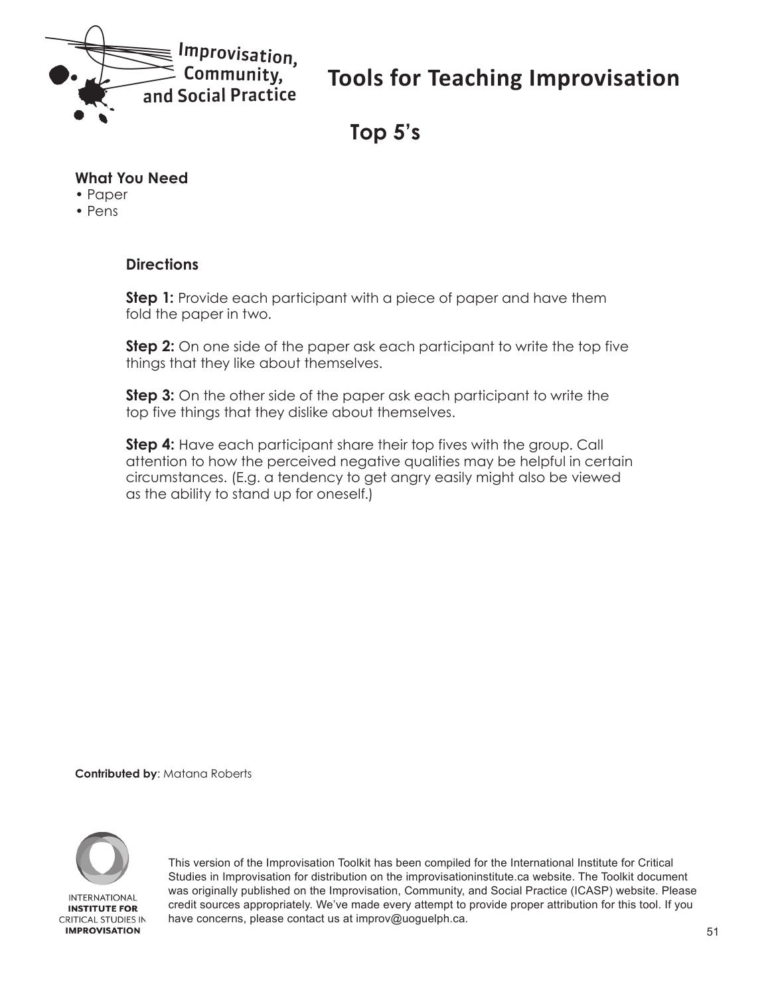<span id="page-50-0"></span>

**Top 5's**

#### **What You Need**

- Paper
- Pens

#### **Directions**

**Step 1:** Provide each participant with a piece of paper and have them fold the paper in two.

**Step 2:** On one side of the paper ask each participant to write the top five things that they like about themselves.

**Step 3:** On the other side of the paper ask each participant to write the top five things that they dislike about themselves.

**Step 4:** Have each participant share their top fives with the group. Call attention to how the perceived negative qualities may be helpful in certain circumstances. (E.g. a tendency to get angry easily might also be viewed as the ability to stand up for oneself.)

**Contributed by**: Matana Roberts

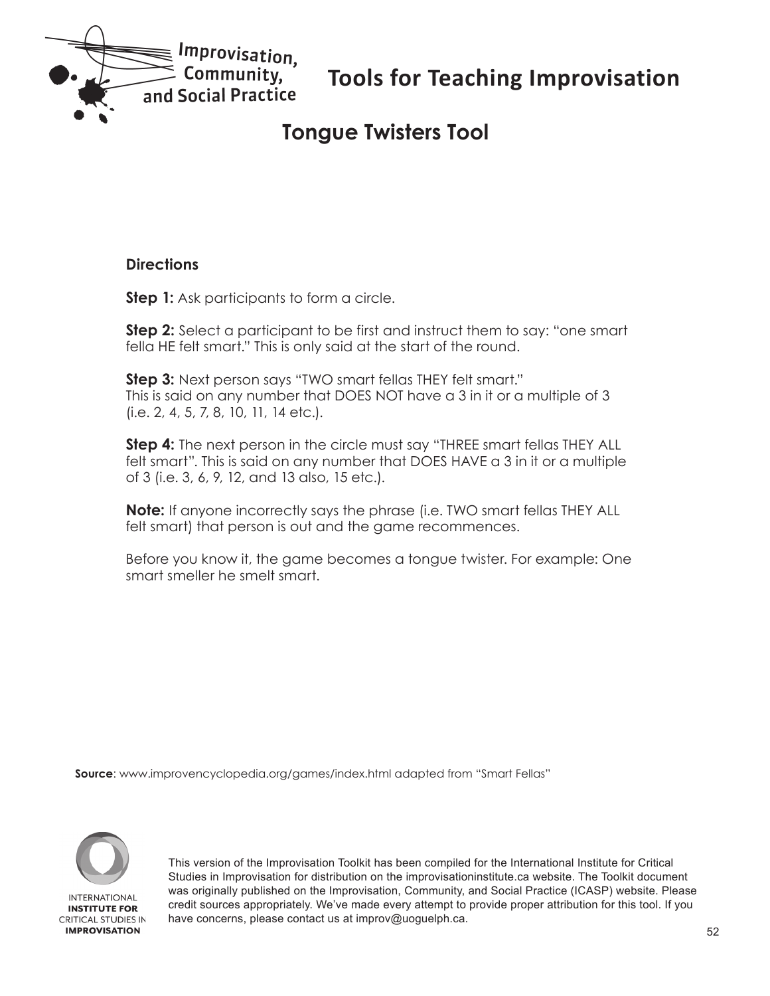<span id="page-51-0"></span>

### **Tongue Twisters Tool**

#### **Directions**

**Step 1:** Ask participants to form a circle.

**Step 2:** Select a participant to be first and instruct them to say: "one smart fella HE felt smart." This is only said at the start of the round.

**Step 3:** Next person says "TWO smart fellas THEY felt smart." This is said on any number that DOES NOT have a 3 in it or a multiple of 3 (i.e. 2, 4, 5, 7, 8, 10, 11, 14 etc.).

**Step 4:** The next person in the circle must say "THREE smart fellas THEY ALL felt smart". This is said on any number that DOES HAVE a 3 in it or a multiple of 3 (i.e. 3, 6, 9, 12, and 13 also, 15 etc.).

**Note:** If anyone incorrectly says the phrase (i.e. TWO smart fellas THEY ALL felt smart) that person is out and the game recommences.

Before you know it, the game becomes a tongue twister. For example: One smart smeller he smelt smart.

**Source**: www.improvencyclopedia.org/games/index.html adapted from "Smart Fellas"



**INTERNATIONAL INSTITUTE FOR CRITICAL STUDIES IN IMPROVISATION**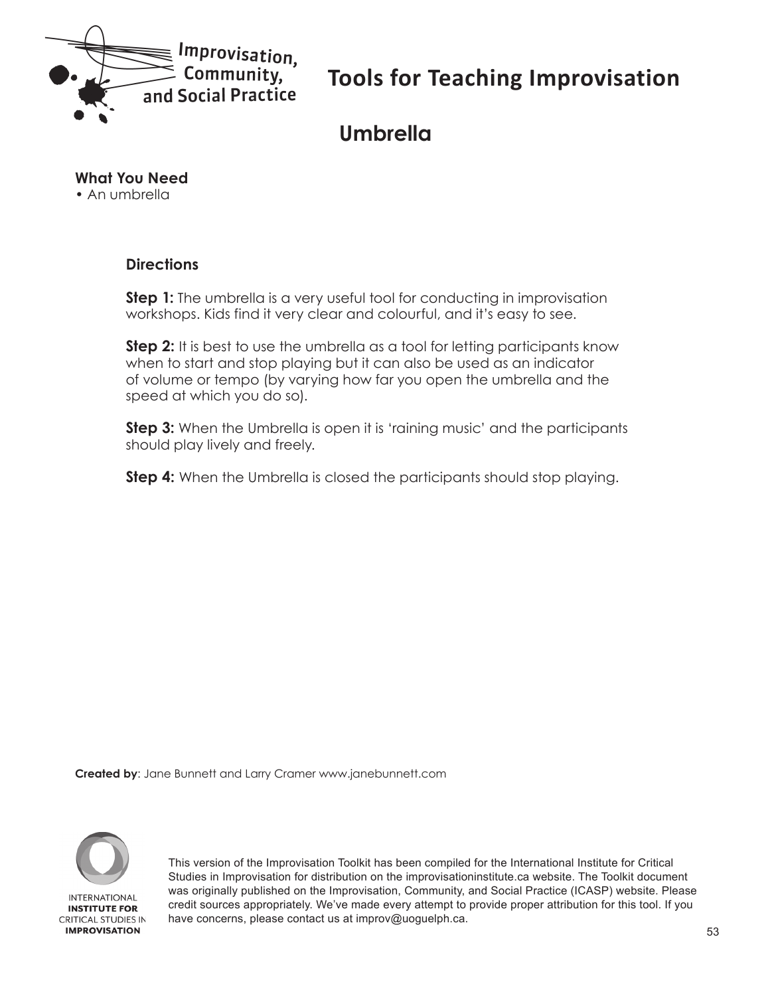<span id="page-52-0"></span>

### **Umbrella**

#### **What You Need**

• An umbrella

#### **Directions**

**Step 1:** The umbrella is a very useful tool for conducting in improvisation workshops. Kids find it very clear and colourful, and it's easy to see.

**Step 2:** It is best to use the umbrella as a tool for letting participants know when to start and stop playing but it can also be used as an indicator of volume or tempo (by varying how far you open the umbrella and the speed at which you do so).

**Step 3:** When the Umbrella is open it is 'raining music' and the participants should play lively and freely.

**Step 4:** When the Umbrella is closed the participants should stop playing.

**Created by**: Jane Bunnett and Larry Cramer www.janebunnett.com

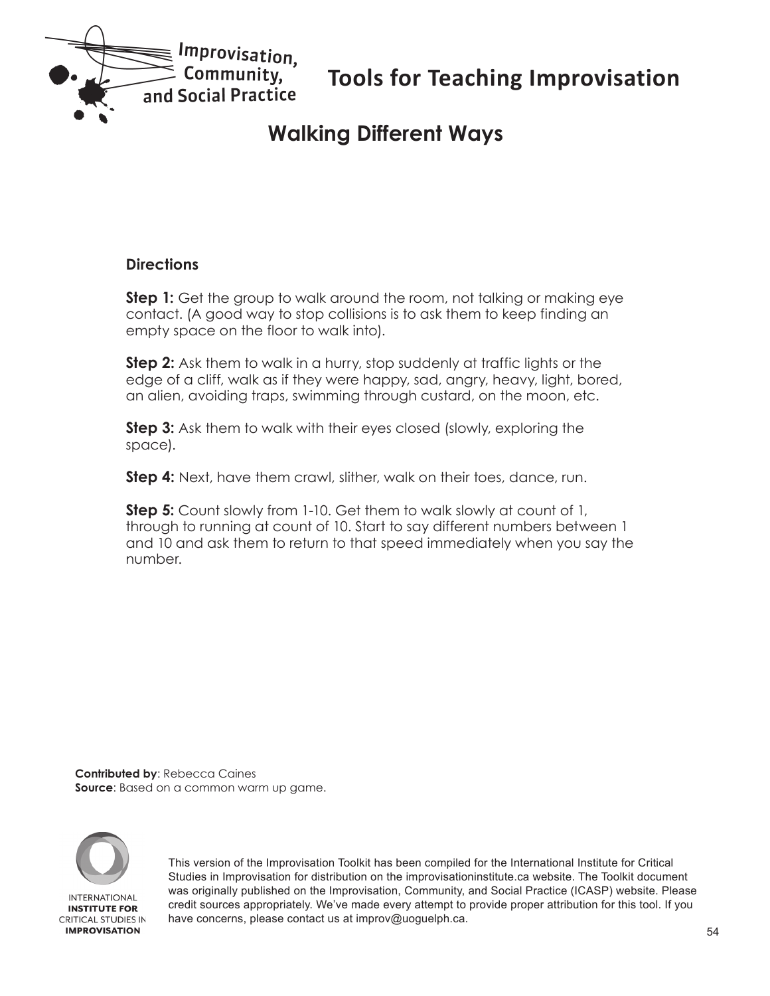<span id="page-53-0"></span>

# **Walking Different Ways**

#### **Directions**

**Step 1:** Get the group to walk around the room, not talking or making eye contact. (A good way to stop collisions is to ask them to keep finding an empty space on the floor to walk into).

**Step 2:** Ask them to walk in a hurry, stop suddenly at traffic lights or the edge of a cliff, walk as if they were happy, sad, angry, heavy, light, bored, an alien, avoiding traps, swimming through custard, on the moon, etc.

**Step 3:** Ask them to walk with their eyes closed (slowly, exploring the space).

**Step 4:** Next, have them crawl, slither, walk on their toes, dance, run.

**Step 5:** Count slowly from 1-10. Get them to walk slowly at count of 1, through to running at count of 10. Start to say different numbers between 1 and 10 and ask them to return to that speed immediately when you say the number.

**Contributed by**: Rebecca Caines **Source**: Based on a common warm up game.

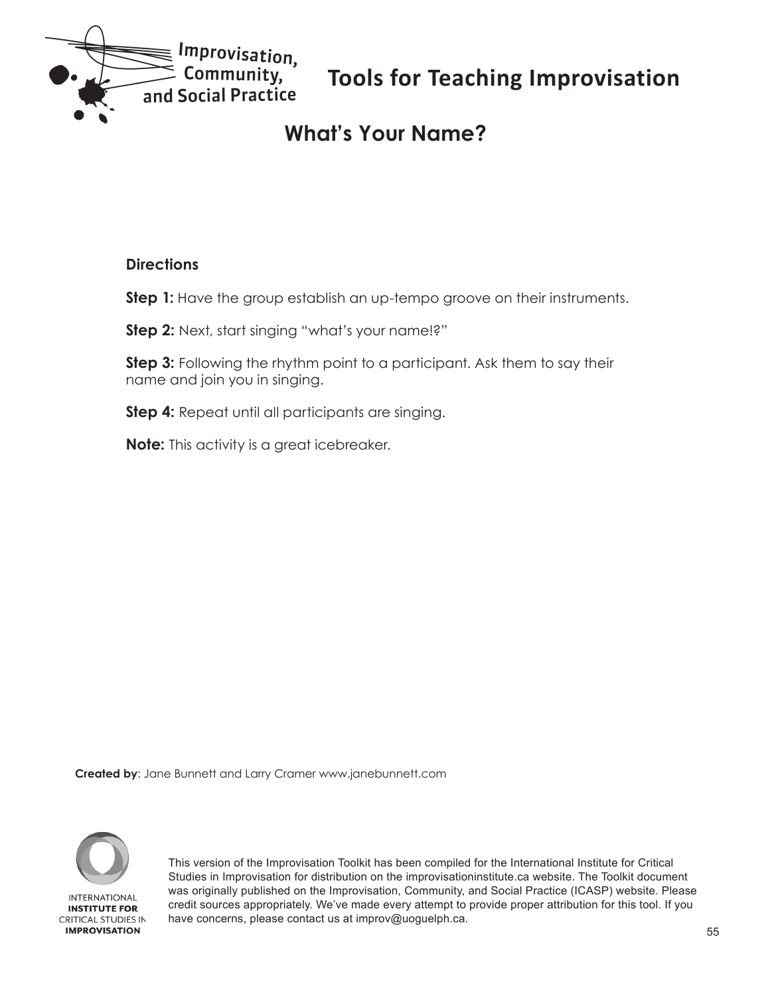<span id="page-54-0"></span>

# **What's Your Name?**

#### **Directions**

**Step 1:** Have the group establish an up-tempo groove on their instruments.

**Step 2:** Next, start singing "what's your name!?"

**Step 3:** Following the rhythm point to a participant. Ask them to say their name and join you in singing.

**Step 4:** Repeat until all participants are singing.

**Note:** This activity is a great icebreaker.

**Created by**: Jane Bunnett and Larry Cramer www.janebunnett.com

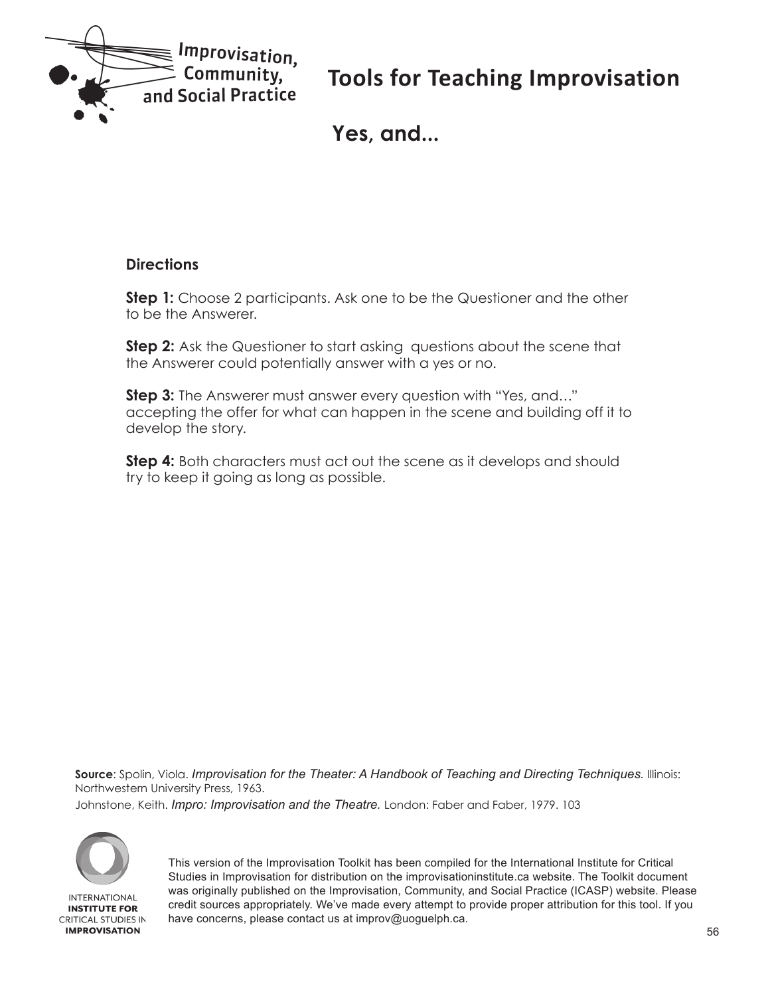<span id="page-55-0"></span>

**Yes, and...**

#### **Directions**

**Step 1:** Choose 2 participants. Ask one to be the Questioner and the other to be the Answerer.

**Step 2:** Ask the Questioner to start asking questions about the scene that the Answerer could potentially answer with a yes or no.

**Step 3:** The Answerer must answer every question with "Yes, and..." accepting the offer for what can happen in the scene and building off it to develop the story.

**Step 4:** Both characters must act out the scene as it develops and should try to keep it going as long as possible.

**Source**: Spolin, Viola. *Improvisation for the Theater: A Handbook of Teaching and Directing Techniques.* Illinois: Northwestern University Press, 1963.

Johnstone, Keith. *Impro: Improvisation and the Theatre.* London: Faber and Faber, 1979. 103

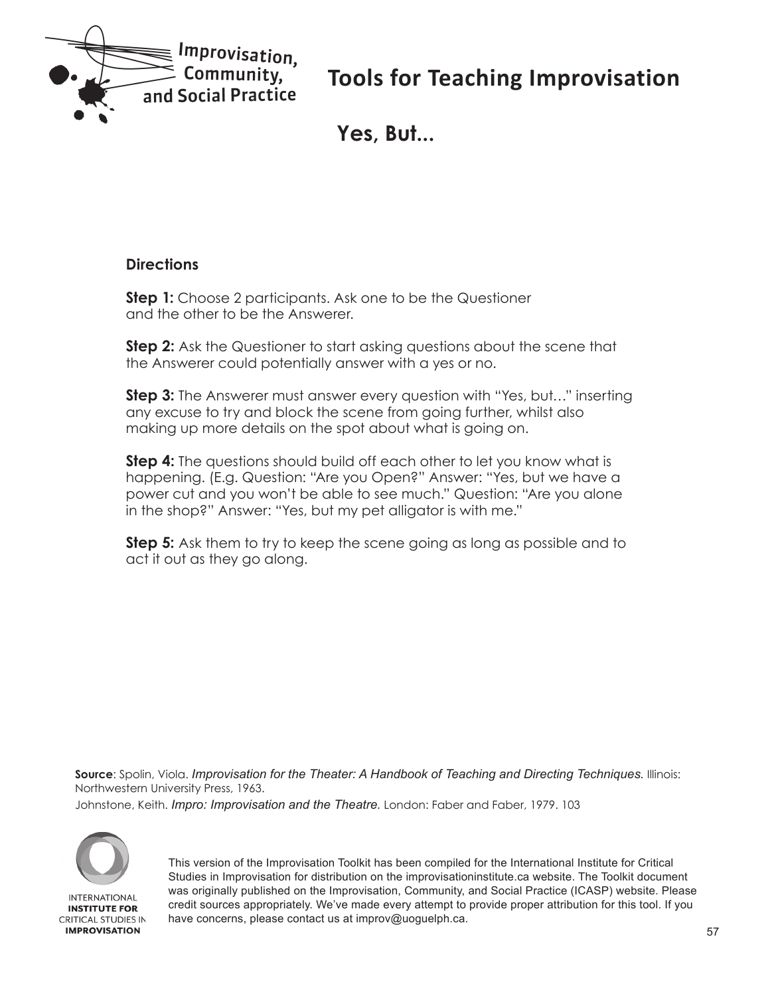<span id="page-56-0"></span>

**Yes, But...**

#### **Directions**

**Step 1:** Choose 2 participants. Ask one to be the Questioner and the other to be the Answerer.

**Step 2:** Ask the Questioner to start asking questions about the scene that the Answerer could potentially answer with a yes or no.

**Step 3:** The Answerer must answer every question with "Yes, but…" inserting any excuse to try and block the scene from going further, whilst also making up more details on the spot about what is going on.

**Step 4:** The questions should build off each other to let you know what is happening. (E.g. Question: "Are you Open?" Answer: "Yes, but we have a power cut and you won't be able to see much." Question: "Are you alone in the shop?" Answer: "Yes, but my pet alligator is with me."

**Step 5:** Ask them to try to keep the scene going as long as possible and to act it out as they go along.

**Source**: Spolin, Viola. *Improvisation for the Theater: A Handbook of Teaching and Directing Techniques.* Illinois: Northwestern University Press, 1963.

Johnstone, Keith. *Impro: Improvisation and the Theatre.* London: Faber and Faber, 1979. 103

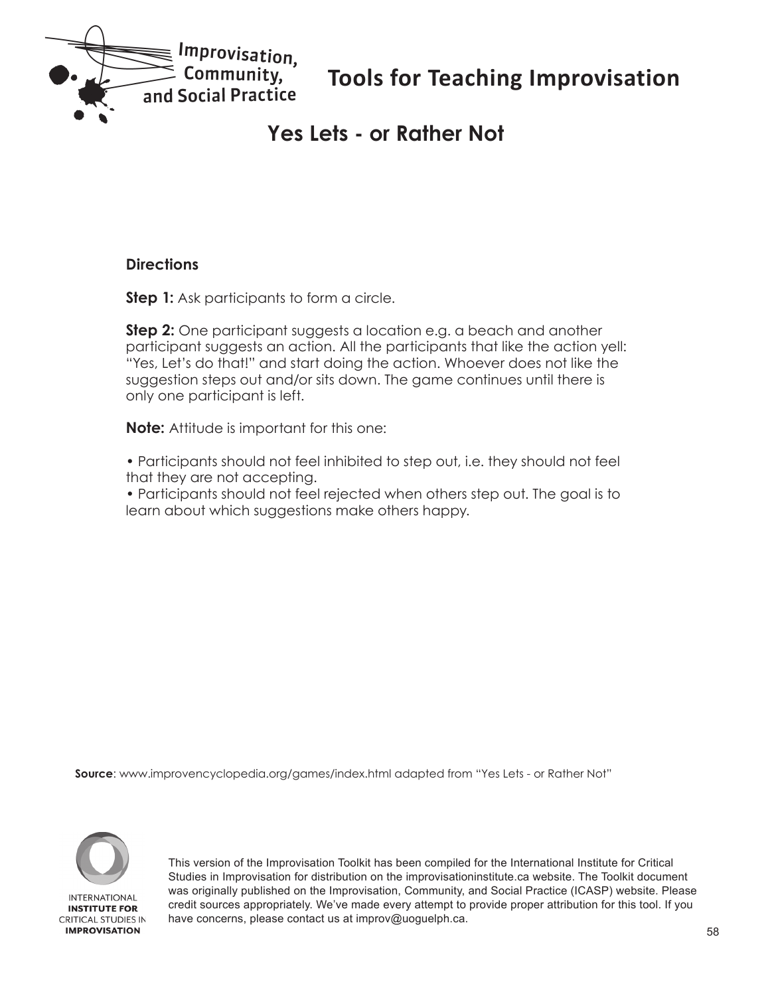<span id="page-57-0"></span>

### **Yes Lets - or Rather Not**

#### **Directions**

**Step 1:** Ask participants to form a circle.

**Step 2:** One participant suggests a location e.g. a beach and another participant suggests an action. All the participants that like the action yell: "Yes, Let's do that!" and start doing the action. Whoever does not like the suggestion steps out and/or sits down. The game continues until there is only one participant is left.

**Note:** Attitude is important for this one:

• Participants should not feel inhibited to step out, i.e. they should not feel that they are not accepting.

• Participants should not feel rejected when others step out. The goal is to learn about which suggestions make others happy.

**Source**: www.improvencyclopedia.org/games/index.html adapted from "Yes Lets - or Rather Not"



**INTERNATIONAL INSTITUTE FOR CRITICAL STUDIES IN IMPROVISATION**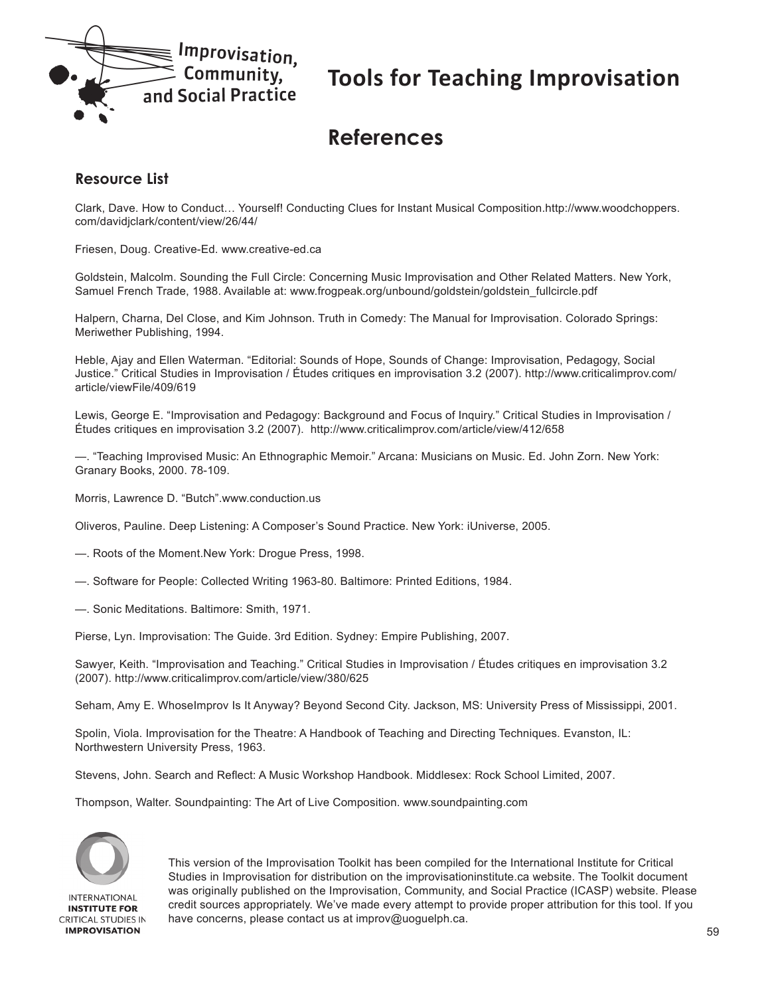<span id="page-58-0"></span>

### **References**

#### **Resource List**

Clark, Dave. How to Conduct… Yourself! Conducting Clues for Instant Musical Composition.http://www.woodchoppers. com/davidjclark/content/view/26/44/

Friesen, Doug. Creative-Ed. www.creative-ed.ca

Goldstein, Malcolm. Sounding the Full Circle: Concerning Music Improvisation and Other Related Matters. New York, Samuel French Trade, 1988. Available at: www.frogpeak.org/unbound/goldstein/goldstein\_fullcircle.pdf

Halpern, Charna, Del Close, and Kim Johnson. Truth in Comedy: The Manual for Improvisation. Colorado Springs: Meriwether Publishing, 1994.

Heble, Ajay and Ellen Waterman. "Editorial: Sounds of Hope, Sounds of Change: Improvisation, Pedagogy, Social Justice." Critical Studies in Improvisation / Études critiques en improvisation 3.2 (2007). http://www.criticalimprov.com/ article/viewFile/409/619

Lewis, George E. "Improvisation and Pedagogy: Background and Focus of Inquiry." Critical Studies in Improvisation / Études critiques en improvisation 3.2 (2007). http://www.criticalimprov.com/article/view/412/658

—. "Teaching Improvised Music: An Ethnographic Memoir." Arcana: Musicians on Music. Ed. John Zorn. New York: Granary Books, 2000. 78-109.

Morris, Lawrence D. "Butch".www.conduction.us

Oliveros, Pauline. Deep Listening: A Composer's Sound Practice. New York: iUniverse, 2005.

- —. Roots of the Moment.New York: Drogue Press, 1998.
- —. Software for People: Collected Writing 1963-80. Baltimore: Printed Editions, 1984.
- —. Sonic Meditations. Baltimore: Smith, 1971.

Pierse, Lyn. Improvisation: The Guide. 3rd Edition. Sydney: Empire Publishing, 2007.

Sawyer, Keith. "Improvisation and Teaching." Critical Studies in Improvisation / Études critiques en improvisation 3.2 (2007). http://www.criticalimprov.com/article/view/380/625

Seham, Amy E. WhoseImprov Is It Anyway? Beyond Second City. Jackson, MS: University Press of Mississippi, 2001.

Spolin, Viola. Improvisation for the Theatre: A Handbook of Teaching and Directing Techniques. Evanston, IL: Northwestern University Press, 1963.

Stevens, John. Search and Reflect: A Music Workshop Handbook. Middlesex: Rock School Limited, 2007.

Thompson, Walter. Soundpainting: The Art of Live Composition. www.soundpainting.com



**INTERNATIONAL INSTITUTE FOR CRITICAL STUDIES IN IMPROVISATION**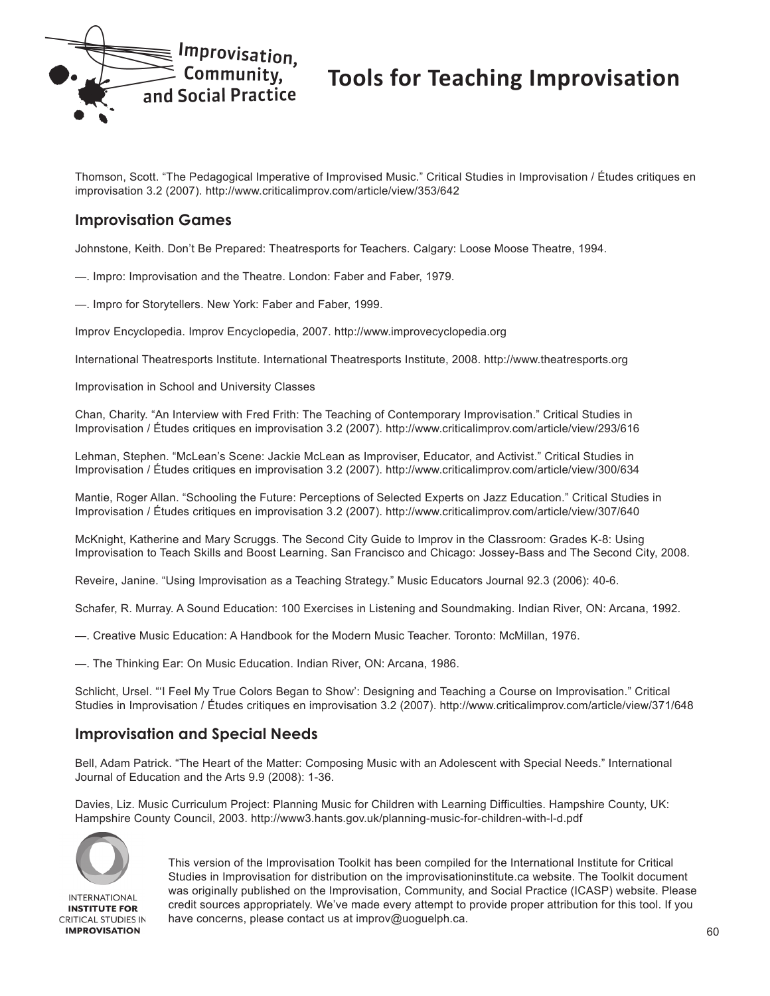

Thomson, Scott. "The Pedagogical Imperative of Improvised Music." Critical Studies in Improvisation / Études critiques en improvisation 3.2 (2007). http://www.criticalimprov.com/article/view/353/642

#### **Improvisation Games**

Johnstone, Keith. Don't Be Prepared: Theatresports for Teachers. Calgary: Loose Moose Theatre, 1994.

—. Impro: Improvisation and the Theatre. London: Faber and Faber, 1979.

—. Impro for Storytellers. New York: Faber and Faber, 1999.

Improv Encyclopedia. Improv Encyclopedia, 2007. http://www.improvecyclopedia.org

International Theatresports Institute. International Theatresports Institute, 2008. http://www.theatresports.org

Improvisation in School and University Classes

Chan, Charity. "An Interview with Fred Frith: The Teaching of Contemporary Improvisation." Critical Studies in Improvisation / Études critiques en improvisation 3.2 (2007). http://www.criticalimprov.com/article/view/293/616

Lehman, Stephen. "McLean's Scene: Jackie McLean as Improviser, Educator, and Activist." Critical Studies in Improvisation / Études critiques en improvisation 3.2 (2007). http://www.criticalimprov.com/article/view/300/634

Mantie, Roger Allan. "Schooling the Future: Perceptions of Selected Experts on Jazz Education." Critical Studies in Improvisation / Études critiques en improvisation 3.2 (2007). http://www.criticalimprov.com/article/view/307/640

McKnight, Katherine and Mary Scruggs. The Second City Guide to Improv in the Classroom: Grades K-8: Using Improvisation to Teach Skills and Boost Learning. San Francisco and Chicago: Jossey-Bass and The Second City, 2008.

Reveire, Janine. "Using Improvisation as a Teaching Strategy." Music Educators Journal 92.3 (2006): 40-6.

Schafer, R. Murray. A Sound Education: 100 Exercises in Listening and Soundmaking. Indian River, ON: Arcana, 1992.

—. Creative Music Education: A Handbook for the Modern Music Teacher. Toronto: McMillan, 1976.

—. The Thinking Ear: On Music Education. Indian River, ON: Arcana, 1986.

Schlicht, Ursel. "'I Feel My True Colors Began to Show': Designing and Teaching a Course on Improvisation." Critical Studies in Improvisation / Études critiques en improvisation 3.2 (2007). http://www.criticalimprov.com/article/view/371/648

#### **Improvisation and Special Needs**

Bell, Adam Patrick. "The Heart of the Matter: Composing Music with an Adolescent with Special Needs." International Journal of Education and the Arts 9.9 (2008): 1-36.

Davies, Liz. Music Curriculum Project: Planning Music for Children with Learning Difficulties. Hampshire County, UK: Hampshire County Council, 2003. http://www3.hants.gov.uk/planning-music-for-children-with-l-d.pdf



**INTERNATIONAL INSTITUTE FOR CRITICAL STUDIES IN IMPROVISATION**